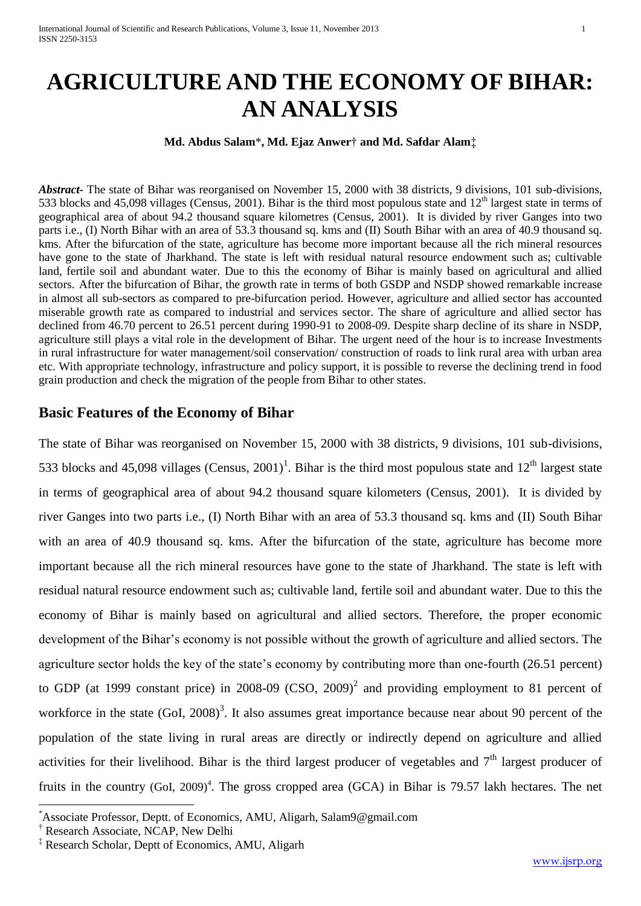# **AGRICULTURE AND THE ECONOMY OF BIHAR: AN ANALYSIS**

**Md. Abdus Salam**\***, Md. Ejaz Anwer**† **and Md. Safdar Alam**‡

*Abstract-* The state of Bihar was reorganised on November 15, 2000 with 38 districts, 9 divisions, 101 sub-divisions, 533 blocks and 45,098 villages (Census, 2001). Bihar is the third most populous state and  $12<sup>th</sup>$  largest state in terms of geographical area of about 94.2 thousand square kilometres (Census, 2001). It is divided by river Ganges into two parts i.e., (I) North Bihar with an area of 53.3 thousand sq. kms and (II) South Bihar with an area of 40.9 thousand sq. kms. After the bifurcation of the state, agriculture has become more important because all the rich mineral resources have gone to the state of Jharkhand. The state is left with residual natural resource endowment such as; cultivable land, fertile soil and abundant water. Due to this the economy of Bihar is mainly based on agricultural and allied sectors. After the bifurcation of Bihar, the growth rate in terms of both GSDP and NSDP showed remarkable increase in almost all sub-sectors as compared to pre-bifurcation period. However, agriculture and allied sector has accounted miserable growth rate as compared to industrial and services sector. The share of agriculture and allied sector has declined from 46.70 percent to 26.51 percent during 1990-91 to 2008-09. Despite sharp decline of its share in NSDP, agriculture still plays a vital role in the development of Bihar. The urgent need of the hour is to increase Investments in rural infrastructure for water management/soil conservation/ construction of roads to link rural area with urban area etc. With appropriate technology, infrastructure and policy support, it is possible to reverse the declining trend in food grain production and check the migration of the people from Bihar to other states.

## **Basic Features of the Economy of Bihar**

The state of Bihar was reorganised on November 15, 2000 with 38 districts, 9 divisions, 101 sub-divisions, 533 blocks and 45,098 villages (Census, 2001)<sup>1</sup>. Bihar is the third most populous state and  $12<sup>th</sup>$  largest state in terms of geographical area of about 94.2 thousand square kilometers (Census, 2001). It is divided by river Ganges into two parts i.e., (I) North Bihar with an area of 53.3 thousand sq. kms and (II) South Bihar with an area of 40.9 thousand sq. kms. After the bifurcation of the state, agriculture has become more important because all the rich mineral resources have gone to the state of Jharkhand. The state is left with residual natural resource endowment such as; cultivable land, fertile soil and abundant water. Due to this the economy of Bihar is mainly based on agricultural and allied sectors. Therefore, the proper economic development of the Bihar's economy is not possible without the growth of agriculture and allied sectors. The agriculture sector holds the key of the state's economy by contributing more than one-fourth (26.51 percent) to GDP (at 1999 constant price) in 2008-09 (CSO, 2009)<sup>2</sup> and providing employment to 81 percent of workforce in the state  $(Gol, 2008)^3$ . It also assumes great importance because near about 90 percent of the population of the state living in rural areas are directly or indirectly depend on agriculture and allied activities for their livelihood. Bihar is the third largest producer of vegetables and  $7<sup>th</sup>$  largest producer of fruits in the country (GoI, 2009)<sup>4</sup>. The gross cropped area (GCA) in Bihar is 79.57 lakh hectares. The net

**.** 

<sup>\*</sup>Associate Professor, Deptt. of Economics, AMU, Aligarh, Salam9@gmail.com

<sup>&</sup>lt;sup>†</sup> Research Associate, NCAP, New Delhi

<sup>‡</sup> Research Scholar, Deptt of Economics, AMU, Aligarh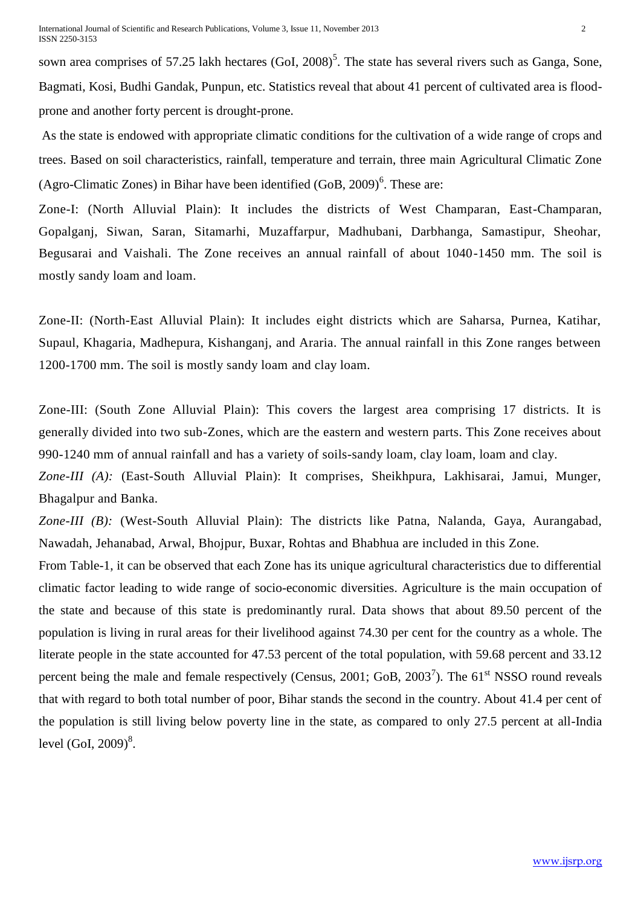sown area comprises of 57.25 lakh hectares  $(Gol, 2008)^5$ . The state has several rivers such as Ganga, Sone, Bagmati, Kosi, Budhi Gandak, Punpun, etc. Statistics reveal that about 41 percent of cultivated area is floodprone and another forty percent is drought-prone.

As the state is endowed with appropriate climatic conditions for the cultivation of a wide range of crops and trees. Based on soil characteristics, rainfall, temperature and terrain, three main Agricultural Climatic Zone (Agro-Climatic Zones) in Bihar have been identified  $(GoB, 2009)^6$ . These are:

Zone-I: (North Alluvial Plain): It includes the districts of West Champaran, East-Champaran, Gopalganj, Siwan, Saran, Sitamarhi, Muzaffarpur, Madhubani, Darbhanga, Samastipur, Sheohar, Begusarai and Vaishali. The Zone receives an annual rainfall of about 1040-1450 mm. The soil is mostly sandy loam and loam.

Zone-II: (North-East Alluvial Plain): It includes eight districts which are Saharsa, Purnea, Katihar, Supaul, Khagaria, Madhepura, Kishanganj, and Araria. The annual rainfall in this Zone ranges between 1200-1700 mm. The soil is mostly sandy loam and clay loam.

Zone-III: (South Zone Alluvial Plain): This covers the largest area comprising 17 districts. It is generally divided into two sub-Zones, which are the eastern and western parts. This Zone receives about 990-1240 mm of annual rainfall and has a variety of soils-sandy loam, clay loam, loam and clay.

*Zone-III (A):* (East-South Alluvial Plain): It comprises, Sheikhpura, Lakhisarai, Jamui, Munger, Bhagalpur and Banka.

*Zone-III (B):* (West-South Alluvial Plain): The districts like Patna, Nalanda, Gaya, Aurangabad, Nawadah, Jehanabad, Arwal, Bhojpur, Buxar, Rohtas and Bhabhua are included in this Zone.

From Table-1, it can be observed that each Zone has its unique agricultural characteristics due to differential climatic factor leading to wide range of socio-economic diversities. Agriculture is the main occupation of the state and because of this state is predominantly rural. Data shows that about 89.50 percent of the population is living in rural areas for their livelihood against 74.30 per cent for the country as a whole. The literate people in the state accounted for 47.53 percent of the total population, with 59.68 percent and 33.12 percent being the male and female respectively (Census, 2001; GoB, 2003<sup>7</sup>). The  $61<sup>st</sup>$  NSSO round reveals that with regard to both total number of poor, Bihar stands the second in the country. About 41.4 per cent of the population is still living below poverty line in the state, as compared to only 27.5 percent at all-India level (GoI, 2009)<sup>8</sup>.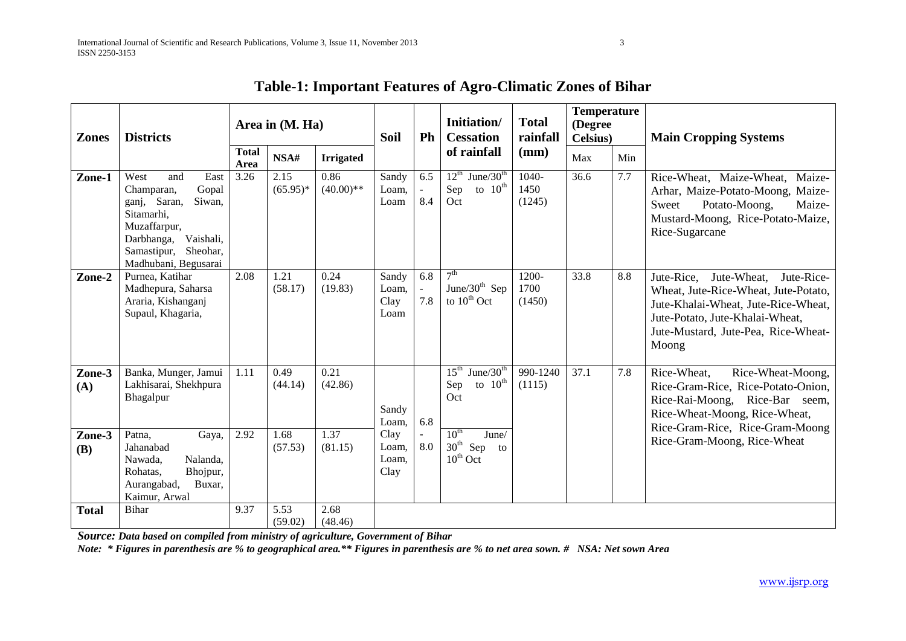| <b>Zones</b>  | <b>Districts</b>                                                                                                                                                              |                      | Area in (M. Ha)    |                     | <b>Soil</b>                    | Ph                     | Initiation/<br><b>Cessation</b>                                                    | <b>Total</b><br>rainfall  | <b>Temperature</b><br>(Degree<br><b>Celsius</b> ) |     | <b>Main Cropping Systems</b>                                                                                                                                                                              |
|---------------|-------------------------------------------------------------------------------------------------------------------------------------------------------------------------------|----------------------|--------------------|---------------------|--------------------------------|------------------------|------------------------------------------------------------------------------------|---------------------------|---------------------------------------------------|-----|-----------------------------------------------------------------------------------------------------------------------------------------------------------------------------------------------------------|
|               |                                                                                                                                                                               | <b>Total</b><br>Area | NSA#               | <b>Irrigated</b>    |                                |                        | of rainfall                                                                        | (mm)                      | Max                                               | Min |                                                                                                                                                                                                           |
| Zone-1        | West<br>East<br>and<br>Gopal<br>Champaran,<br>Siwan,<br>ganj, Saran,<br>Sitamarhi,<br>Muzaffarpur,<br>Vaishali,<br>Darbhanga,<br>Samastipur, Sheohar,<br>Madhubani, Begusarai | 3.26                 | 2.15<br>$(65.95)*$ | 0.86<br>$(40.00)**$ | Sandy<br>Loam,<br>Loam         | 6.5<br>$\omega$<br>8.4 | $12^{th}$ June/30 <sup>th</sup><br>to $10^{\text{th}}$<br>Sep<br>Oct               | $1040-$<br>1450<br>(1245) | 36.6                                              | 7.7 | Rice-Wheat, Maize-Wheat, Maize-<br>Arhar, Maize-Potato-Moong, Maize-<br>Potato-Moong,<br>Sweet<br>Maize-<br>Mustard-Moong, Rice-Potato-Maize,<br>Rice-Sugarcane                                           |
| Zone-2        | Purnea, Katihar<br>Madhepura, Saharsa<br>Araria, Kishanganj<br>Supaul, Khagaria,                                                                                              | 2.08                 | 1.21<br>(58.17)    | 0.24<br>(19.83)     | Sandy<br>Loam,<br>Clay<br>Loam | 6.8<br>$\omega$<br>7.8 | 7 <sup>th</sup><br>June/30 $th$ Sep<br>to $10^{th}$ Oct                            | 1200-<br>1700<br>(1450)   | 33.8                                              | 8.8 | Jute-Rice.<br>Jute-Wheat,<br>Jute-Rice-<br>Wheat, Jute-Rice-Wheat, Jute-Potato,<br>Jute-Khalai-Wheat, Jute-Rice-Wheat,<br>Jute-Potato, Jute-Khalai-Wheat,<br>Jute-Mustard, Jute-Pea, Rice-Wheat-<br>Moong |
| Zone-3<br>(A) | Banka, Munger, Jamui<br>Lakhisarai, Shekhpura<br>Bhagalpur                                                                                                                    | 1.11                 | 0.49<br>(44.14)    | 0.21<br>(42.86)     | Sandy<br>Loam,                 | 6.8                    | June/ $30th$<br>$15^{\text{th}}$<br>to $10^{\text{th}}$<br>Sep<br>Oct              | 990-1240<br>(1115)        | 37.1                                              | 7.8 | Rice-Wheat-Moong,<br>Rice-Wheat,<br>Rice-Gram-Rice, Rice-Potato-Onion,<br>Rice-Rai-Moong, Rice-Bar seem,<br>Rice-Wheat-Moong, Rice-Wheat,<br>Rice-Gram-Rice, Rice-Gram-Moong                              |
| Zone-3<br>(B) | Patna,<br>Gaya,<br>Jahanabad<br>Nalanda,<br>Nawada.<br>Rohatas,<br>Bhojpur,<br>Buxar,<br>Aurangabad,<br>Kaimur, Arwal                                                         | 2.92                 | 1.68<br>(57.53)    | 1.37<br>(81.15)     | Clay<br>Loam,<br>Loam.<br>Clay | 8.0                    | $10^{\text{th}}$<br>June/<br>$30^{\text{th}}$<br>Sep<br>to<br>$10^{\text{th}}$ Oct |                           |                                                   |     | Rice-Gram-Moong, Rice-Wheat                                                                                                                                                                               |
| <b>Total</b>  | <b>Bihar</b>                                                                                                                                                                  | 9.37                 | 5.53<br>(59.02)    | 2.68<br>(48.46)     |                                |                        |                                                                                    |                           |                                                   |     |                                                                                                                                                                                                           |

## **Table-1: Important Features of Agro-Climatic Zones of Bihar**

*Source: Data based on compiled from ministry of agriculture, Government of Bihar*

*Note: \* Figures in parenthesis are % to geographical area.\*\* Figures in parenthesis are % to net area sown. # NSA: Net sown Area*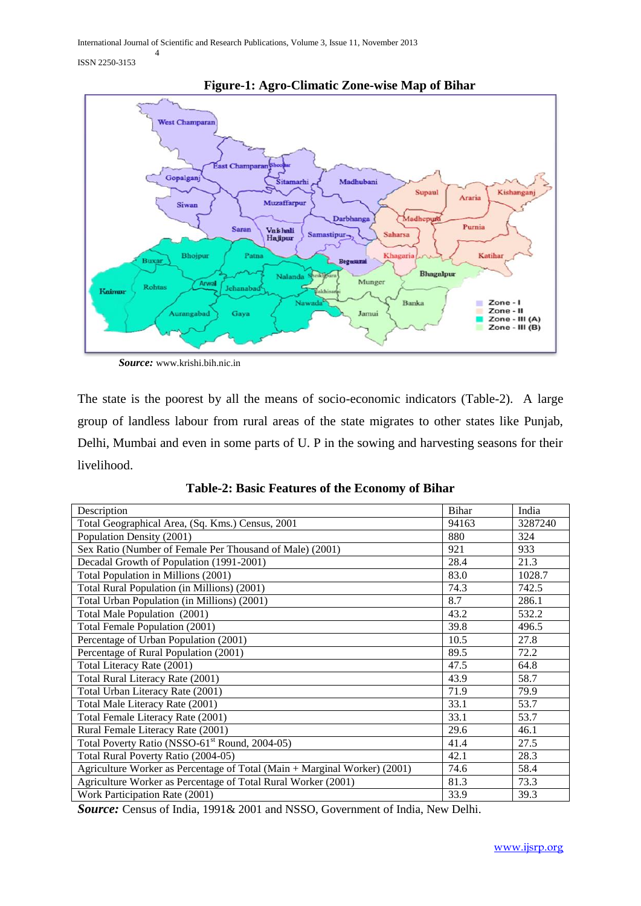ISSN 2250-3153



**Figure-1: Agro-Climatic Zone-wise Map of Bihar**

*Source:* www.krishi.bih.nic.in

The state is the poorest by all the means of socio-economic indicators (Table-2). A large group of landless labour from rural areas of the state migrates to other states like Punjab, Delhi, Mumbai and even in some parts of U. P in the sowing and harvesting seasons for their livelihood.

| Description                                                               | Bihar | India   |
|---------------------------------------------------------------------------|-------|---------|
| Total Geographical Area, (Sq. Kms.) Census, 2001                          | 94163 | 3287240 |
| Population Density (2001)                                                 | 880   | 324     |
| Sex Ratio (Number of Female Per Thousand of Male) (2001)                  | 921   | 933     |
| Decadal Growth of Population (1991-2001)                                  | 28.4  | 21.3    |
| Total Population in Millions (2001)                                       | 83.0  | 1028.7  |
| Total Rural Population (in Millions) (2001)                               | 74.3  | 742.5   |
| Total Urban Population (in Millions) (2001)                               | 8.7   | 286.1   |
| Total Male Population (2001)                                              | 43.2  | 532.2   |
| Total Female Population (2001)                                            | 39.8  | 496.5   |
| Percentage of Urban Population (2001)                                     | 10.5  | 27.8    |
| Percentage of Rural Population (2001)                                     | 89.5  | 72.2    |
| Total Literacy Rate (2001)                                                | 47.5  | 64.8    |
| Total Rural Literacy Rate (2001)                                          | 43.9  | 58.7    |
| Total Urban Literacy Rate (2001)                                          | 71.9  | 79.9    |
| Total Male Literacy Rate (2001)                                           | 33.1  | 53.7    |
| Total Female Literacy Rate (2001)                                         | 33.1  | 53.7    |
| Rural Female Literacy Rate (2001)                                         | 29.6  | 46.1    |
| Total Poverty Ratio (NSSO-61 <sup>st</sup> Round, 2004-05)                | 41.4  | 27.5    |
| Total Rural Poverty Ratio (2004-05)                                       | 42.1  | 28.3    |
| Agriculture Worker as Percentage of Total (Main + Marginal Worker) (2001) | 74.6  | 58.4    |
| Agriculture Worker as Percentage of Total Rural Worker (2001)             | 81.3  | 73.3    |
| Work Participation Rate (2001)                                            | 33.9  | 39.3    |

**Table-2: Basic Features of the Economy of Bihar**

*Source:* Census of India, 1991& 2001 and NSSO, Government of India, New Delhi.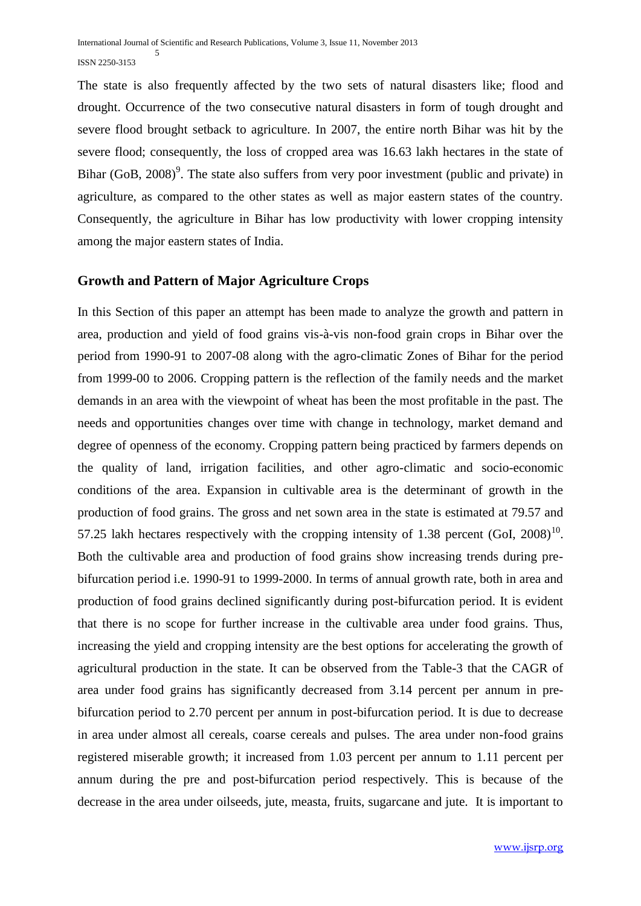The state is also frequently affected by the two sets of natural disasters like; flood and drought. Occurrence of the two consecutive natural disasters in form of tough drought and severe flood brought setback to agriculture. In 2007, the entire north Bihar was hit by the severe flood; consequently, the loss of cropped area was 16.63 lakh hectares in the state of Bihar  $(GoB, 2008)$ <sup>9</sup>. The state also suffers from very poor investment (public and private) in agriculture, as compared to the other states as well as major eastern states of the country. Consequently, the agriculture in Bihar has low productivity with lower cropping intensity among the major eastern states of India.

#### **Growth and Pattern of Major Agriculture Crops**

In this Section of this paper an attempt has been made to analyze the growth and pattern in area, production and yield of food grains vis-à-vis non-food grain crops in Bihar over the period from 1990-91 to 2007-08 along with the agro-climatic Zones of Bihar for the period from 1999-00 to 2006. Cropping pattern is the reflection of the family needs and the market demands in an area with the viewpoint of wheat has been the most profitable in the past. The needs and opportunities changes over time with change in technology, market demand and degree of openness of the economy. Cropping pattern being practiced by farmers depends on the quality of land, irrigation facilities, and other agro-climatic and socio-economic conditions of the area. Expansion in cultivable area is the determinant of growth in the production of food grains. The gross and net sown area in the state is estimated at 79.57 and 57.25 lakh hectares respectively with the cropping intensity of 1.38 percent  $(Gol, 2008)^{10}$ . Both the cultivable area and production of food grains show increasing trends during prebifurcation period i.e. 1990-91 to 1999-2000. In terms of annual growth rate, both in area and production of food grains declined significantly during post-bifurcation period. It is evident that there is no scope for further increase in the cultivable area under food grains. Thus, increasing the yield and cropping intensity are the best options for accelerating the growth of agricultural production in the state. It can be observed from the Table-3 that the CAGR of area under food grains has significantly decreased from 3.14 percent per annum in prebifurcation period to 2.70 percent per annum in post-bifurcation period. It is due to decrease in area under almost all cereals, coarse cereals and pulses. The area under non-food grains registered miserable growth; it increased from 1.03 percent per annum to 1.11 percent per annum during the pre and post-bifurcation period respectively. This is because of the decrease in the area under oilseeds, jute, measta, fruits, sugarcane and jute. It is important to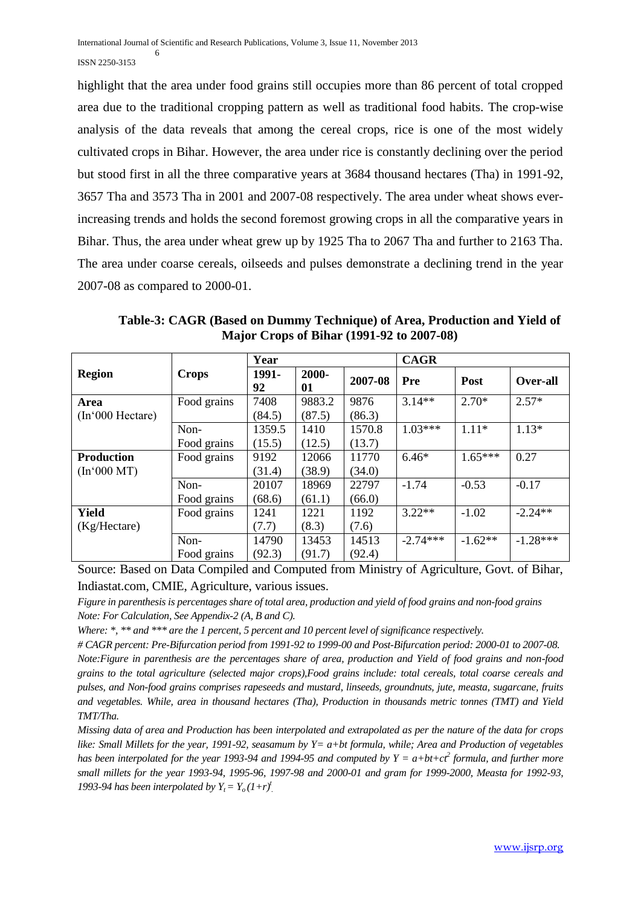highlight that the area under food grains still occupies more than 86 percent of total cropped area due to the traditional cropping pattern as well as traditional food habits. The crop-wise analysis of the data reveals that among the cereal crops, rice is one of the most widely cultivated crops in Bihar. However, the area under rice is constantly declining over the period but stood first in all the three comparative years at 3684 thousand hectares (Tha) in 1991-92, 3657 Tha and 3573 Tha in 2001 and 2007-08 respectively. The area under wheat shows everincreasing trends and holds the second foremost growing crops in all the comparative years in Bihar. Thus, the area under wheat grew up by 1925 Tha to 2067 Tha and further to 2163 Tha. The area under coarse cereals, oilseeds and pulses demonstrate a declining trend in the year 2007-08 as compared to 2000-01.

**Table-3: CAGR (Based on Dummy Technique) of Area, Production and Yield of Major Crops of Bihar (1991-92 to 2007-08)**

|                   |              | Year        |             |         | <b>CAGR</b> |             |            |
|-------------------|--------------|-------------|-------------|---------|-------------|-------------|------------|
| <b>Region</b>     | <b>Crops</b> | 1991-<br>92 | 2000-<br>01 | 2007-08 | Pre         | <b>Post</b> | Over-all   |
| Area              | Food grains  | 7408        | 9883.2      | 9876    | $3.14**$    | $2.70*$     | $2.57*$    |
| (In'000 Hectare)  |              | (84.5)      | (87.5)      | (86.3)  |             |             |            |
|                   | Non-         | 1359.5      | 1410        | 1570.8  | $1.03***$   | $1.11*$     | $1.13*$    |
|                   | Food grains  | (15.5)      | (12.5)      | (13.7)  |             |             |            |
| <b>Production</b> | Food grains  | 9192        | 12066       | 11770   | $6.46*$     | $1.65***$   | 0.27       |
| (In'000 MT)       |              | (31.4)      | (38.9)      | (34.0)  |             |             |            |
|                   | Non-         | 20107       | 18969       | 22797   | $-1.74$     | $-0.53$     | $-0.17$    |
|                   | Food grains  | (68.6)      | (61.1)      | (66.0)  |             |             |            |
| <b>Yield</b>      | Food grains  | 1241        | 1221        | 1192    | $3.22**$    | $-1.02$     | $-2.24**$  |
| (Kg/Hectare)      |              | (7.7)       | (8.3)       | (7.6)   |             |             |            |
|                   | Non-         | 14790       | 13453       | 14513   | $-2.74***$  | $-1.62**$   | $-1.28***$ |
|                   | Food grains  | (92.3)      | (91.7)      | (92.4)  |             |             |            |

Source: Based on Data Compiled and Computed from Ministry of Agriculture, Govt. of Bihar, Indiastat.com, CMIE, Agriculture, various issues.

*Figure in parenthesis is percentages share of total area, production and yield of food grains and non-food grains Note: For Calculation, See Appendix-2 (A, B and C).*

*Where: \*, \*\* and \*\*\* are the 1 percent, 5 percent and 10 percent level of significance respectively.*

*# CAGR percent: Pre-Bifurcation period from 1991-92 to 1999-00 and Post-Bifurcation period: 2000-01 to 2007-08. Note:Figure in parenthesis are the percentages share of area, production and Yield of food grains and non-food grains to the total agriculture (selected major crops),Food grains include: total cereals, total coarse cereals and pulses, and Non-food grains comprises rapeseeds and mustard, linseeds, groundnuts, jute, measta, sugarcane, fruits and vegetables. While, area in thousand hectares (Tha), Production in thousands metric tonnes (TMT) and Yield TMT/Tha.*

*Missing data of area and Production has been interpolated and extrapolated as per the nature of the data for crops like: Small Millets for the year, 1991-92, seasamum by Y= a+bt formula, while; Area and Production of vegetables has been interpolated for the year 1993-94 and 1994-95 and computed by Y = a+bt+ct<sup>2</sup> formula, and further more small millets for the year 1993-94, 1995-96, 1997-98 and 2000-01 and gram for 1999-2000, Measta for 1992-93, 1993-94 has been interpolated by*  $Y_t = Y_o(1+r)^t$ *.*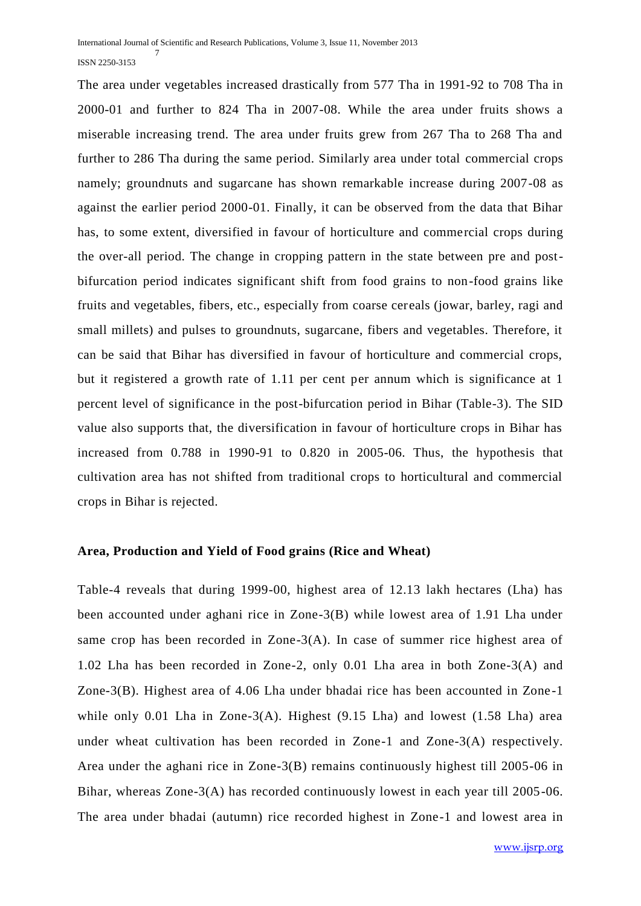The area under vegetables increased drastically from 577 Tha in 1991-92 to 708 Tha in 2000-01 and further to 824 Tha in 2007-08. While the area under fruits shows a miserable increasing trend. The area under fruits grew from 267 Tha to 268 Tha and further to 286 Tha during the same period. Similarly area under total commercial crops namely; groundnuts and sugarcane has shown remarkable increase during 2007-08 as against the earlier period 2000-01. Finally, it can be observed from the data that Bihar has, to some extent, diversified in favour of horticulture and commercial crops during the over-all period. The change in cropping pattern in the state between pre and postbifurcation period indicates significant shift from food grains to non-food grains like fruits and vegetables, fibers, etc., especially from coarse cereals (jowar, barley, ragi and small millets) and pulses to groundnuts, sugarcane, fibers and vegetables. Therefore, it can be said that Bihar has diversified in favour of horticulture and commercial crops, but it registered a growth rate of 1.11 per cent per annum which is significance at 1 percent level of significance in the post-bifurcation period in Bihar (Table-3). The SID value also supports that, the diversification in favour of horticulture crops in Bihar has increased from 0.788 in 1990-91 to 0.820 in 2005-06. Thus, the hypothesis that cultivation area has not shifted from traditional crops to horticultural and commercial crops in Bihar is rejected.

#### **Area, Production and Yield of Food grains (Rice and Wheat)**

Table-4 reveals that during 1999-00, highest area of 12.13 lakh hectares (Lha) has been accounted under aghani rice in Zone-3(B) while lowest area of 1.91 Lha under same crop has been recorded in Zone-3(A). In case of summer rice highest area of 1.02 Lha has been recorded in Zone-2, only 0.01 Lha area in both Zone-3(A) and Zone-3(B). Highest area of 4.06 Lha under bhadai rice has been accounted in Zone -1 while only 0.01 Lha in Zone-3(A). Highest (9.15 Lha) and lowest (1.58 Lha) area under wheat cultivation has been recorded in Zone-1 and Zone-3(A) respectively. Area under the aghani rice in Zone-3(B) remains continuously highest till 2005-06 in Bihar, whereas Zone-3(A) has recorded continuously lowest in each year till 2005-06. The area under bhadai (autumn) rice recorded highest in Zone-1 and lowest area in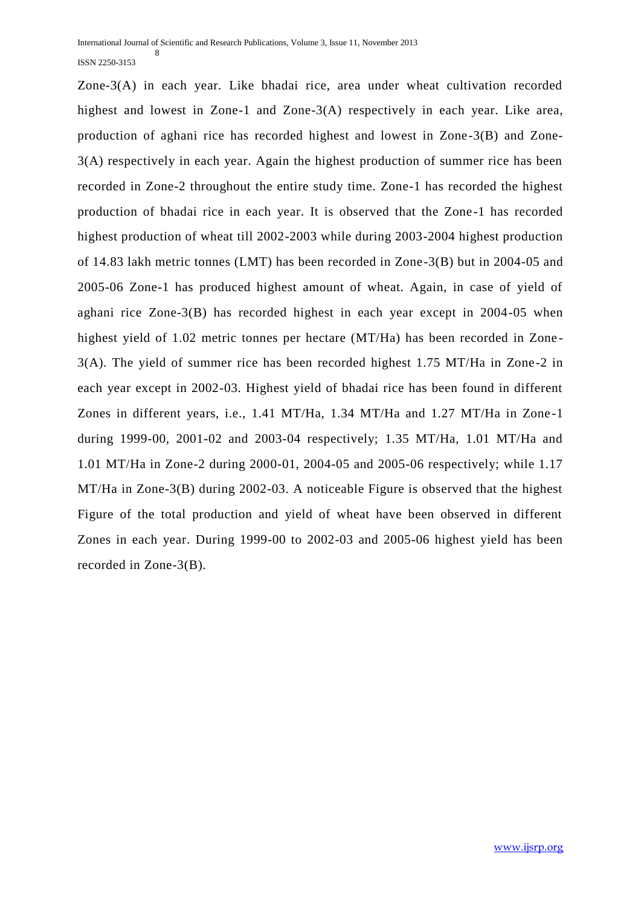Zone-3(A) in each year. Like bhadai rice, area under wheat cultivation recorded highest and lowest in Zone-1 and Zone-3(A) respectively in each year. Like area, production of aghani rice has recorded highest and lowest in Zone-3(B) and Zone-3(A) respectively in each year. Again the highest production of summer rice has been recorded in Zone-2 throughout the entire study time. Zone-1 has recorded the highest production of bhadai rice in each year. It is observed that the Zone-1 has recorded highest production of wheat till 2002-2003 while during 2003-2004 highest production of 14.83 lakh metric tonnes (LMT) has been recorded in Zone-3(B) but in 2004-05 and 2005-06 Zone-1 has produced highest amount of wheat. Again, in case of yield of aghani rice Zone-3(B) has recorded highest in each year except in 2004-05 when highest yield of 1.02 metric tonnes per hectare (MT/Ha) has been recorded in Zone - 3(A). The yield of summer rice has been recorded highest 1.75 MT/Ha in Zone-2 in each year except in 2002-03. Highest yield of bhadai rice has been found in different Zones in different years, i.e., 1.41 MT/Ha, 1.34 MT/Ha and 1.27 MT/Ha in Zone-1 during 1999-00, 2001-02 and 2003-04 respectively; 1.35 MT/Ha, 1.01 MT/Ha and 1.01 MT/Ha in Zone-2 during 2000-01, 2004-05 and 2005-06 respectively; while 1.17 MT/Ha in Zone-3(B) during 2002-03. A noticeable Figure is observed that the highest Figure of the total production and yield of wheat have been observed in different Zones in each year. During 1999-00 to 2002-03 and 2005-06 highest yield has been recorded in Zone-3(B).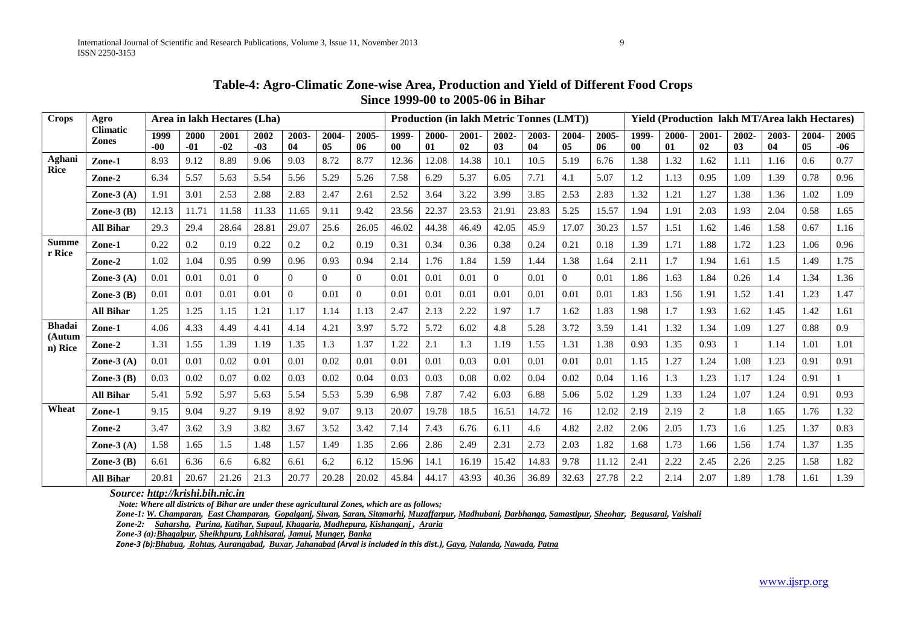| Table-4: Agro-Climatic Zone-wise Area, Production and Yield of Different Food Crops |
|-------------------------------------------------------------------------------------|
| Since 1999-00 to 2005-06 in Bihar                                                   |

| <b>Crops</b>      | Agro                            | Area in lakh Hectares (Lha) |               |               |                |                |             |                | <b>Production (in lakh Metric Tonnes (LMT))</b> |             |             |              |             |                |             | Yield (Production lakh MT/Area lakh Hectares) |             |                |             |             |             |               |
|-------------------|---------------------------------|-----------------------------|---------------|---------------|----------------|----------------|-------------|----------------|-------------------------------------------------|-------------|-------------|--------------|-------------|----------------|-------------|-----------------------------------------------|-------------|----------------|-------------|-------------|-------------|---------------|
|                   | <b>Climatic</b><br><b>Zones</b> | 1999<br>-00                 | 2000<br>$-01$ | 2001<br>$-02$ | 2002<br>$-03$  | 2003-<br>04    | 2004-<br>05 | 2005-<br>06    | 1999.<br>$\bf{00}$                              | 2000-<br>01 | 2001-<br>02 | 2002-<br>03  | 2003-<br>04 | 2004-<br>05    | 2005-<br>06 | 1999-<br>00                                   | 2000-<br>01 | $2001 -$<br>02 | 2002-<br>03 | 2003-<br>04 | 2004-<br>05 | 2005<br>$-06$ |
| Aghani<br>Rice    | Zone-1                          | 8.93                        | 9.12          | 8.89          | 9.06           | 9.03           | 8.72        | 8.77           | 12.36                                           | 12.08       | 14.38       | 10.1         | 10.5        | 5.19           | 6.76        | 1.38                                          | 1.32        | 1.62           | 1.11        | 1.16        | 0.6         | 0.77          |
|                   | Zone-2                          | 6.34                        | 5.57          | 5.63          | 5.54           | 5.56           | 5.29        | 5.26           | 7.58                                            | 6.29        | 5.37        | 6.05         | 7.71        | 4.1            | 5.07        | 1.2                                           | 1.13        | 0.95           | 1.09        | 1.39        | 0.78        | 0.96          |
|                   | Zone- $3(A)$                    | 1.91                        | 3.01          | 2.53          | 2.88           | 2.83           | 2.47        | 2.61           | 2.52                                            | 3.64        | 3.22        | 3.99         | 3.85        | 2.53           | 2.83        | 1.32                                          | 1.21        | 1.27           | 1.38        | 1.36        | 1.02        | 1.09          |
|                   | Zone- $3(B)$                    | 12.13                       | 11.71         | 11.58         | 11.33          | 11.65          | 9.11        | 9.42           | 23.56                                           | 22.37       | 23.53       | 21.91        | 23.83       | 5.25           | 15.57       | 1.94                                          | 1.91        | 2.03           | 1.93        | 2.04        | 0.58        | 1.65          |
|                   | <b>All Bihar</b>                | 29.3                        | 29.4          | 28.64         | 28.81          | 29.07          | 25.6        | 26.05          | 46.02                                           | 44.38       | 46.49       | 42.05        | 45.9        | 17.07          | 30.23       | 1.57                                          | 1.51        | 1.62           | 1.46        | 1.58        | 0.67        | 1.16          |
| <b>Summe</b>      | Zone-1                          | 0.22                        | $0.2\,$       | 0.19          | 0.22           | 0.2            | 0.2         | 0.19           | 0.31                                            | 0.34        | 0.36        | 0.38         | 0.24        | 0.21           | 0.18        | 1.39                                          | 1.71        | 1.88           | 1.72        | 1.23        | 1.06        | 0.96          |
| r Rice            | Zone-2                          | 1.02                        | 1.04          | 0.95          | 0.99           | 0.96           | 0.93        | 0.94           | 2.14                                            | 1.76        | 1.84        | 1.59         | 1.44        | 1.38           | 1.64        | 2.11                                          | 1.7         | 1.94           | 1.61        | 1.5         | 1.49        | 1.75          |
|                   | Zone-3 $(A)$                    | 0.01                        | 0.01          | 0.01          | $\overline{0}$ | $\overline{0}$ | $\Omega$    | $\theta$       | 0.01                                            | 0.01        | 0.01        | $\mathbf{0}$ | 0.01        | $\overline{0}$ | 0.01        | 1.86                                          | 1.63        | 1.84           | 0.26        | 1.4         | 1.34        | 1.36          |
|                   | Zone- $3(B)$                    | 0.01                        | 0.01          | 0.01          | 0.01           | $\overline{0}$ | 0.01        | $\overline{0}$ | 0.01                                            | 0.01        | 0.01        | 0.01         | 0.01        | 0.01           | 0.01        | 1.83                                          | 1.56        | 1.91           | 1.52        | 1.41        | 1.23        | 1.47          |
|                   | <b>All Bihar</b>                | 1.25                        | 1.25          | 1.15          | 1.21           | 1.17           | 1.14        | 1.13           | 2.47                                            | 2.13        | 2.22        | 1.97         | 1.7         | 1.62           | 1.83        | 1.98                                          | 1.7         | 1.93           | 1.62        | 1.45        | 1.42        | 1.61          |
| <b>Bhadai</b>     | Zone-1                          | 4.06                        | 4.33          | 4.49          | 4.41           | 4.14           | 4.21        | 3.97           | 5.72                                            | 5.72        | 6.02        | 4.8          | 5.28        | 3.72           | 3.59        | 1.41                                          | 1.32        | 1.34           | 1.09        | 1.27        | 0.88        | 0.9           |
| (Autum<br>n) Rice | Zone-2                          | 1.31                        | 1.55          | 1.39          | 1.19           | 1.35           | 1.3         | 1.37           | 1.22                                            | 2.1         | 1.3         | 1.19         | 1.55        | 1.31           | 1.38        | 0.93                                          | 1.35        | 0.93           |             | 1.14        | 1.01        | 1.01          |
|                   | Zone- $3(A)$                    | 0.01                        | 0.01          | 0.02          | 0.01           | 0.01           | 0.02        | 0.01           | 0.01                                            | 0.01        | 0.03        | 0.01         | 0.01        | 0.01           | 0.01        | 1.15                                          | 1.27        | 1.24           | 1.08        | 1.23        | 0.91        | 0.91          |
|                   | Zone- $3(B)$                    | 0.03                        | 0.02          | 0.07          | 0.02           | 0.03           | 0.02        | 0.04           | 0.03                                            | 0.03        | 0.08        | 0.02         | 0.04        | 0.02           | 0.04        | 1.16                                          | 1.3         | 1.23           | 1.17        | 1.24        | 0.91        |               |
|                   | <b>All Bihar</b>                | 5.41                        | 5.92          | 5.97          | 5.63           | 5.54           | 5.53        | 5.39           | 6.98                                            | 7.87        | 7.42        | 6.03         | 6.88        | 5.06           | 5.02        | 1.29                                          | 1.33        | 1.24           | 1.07        | 1.24        | 0.91        | 0.93          |
| Wheat             | Zone-1                          | 9.15                        | 9.04          | 9.27          | 9.19           | 8.92           | 9.07        | 9.13           | 20.07                                           | 19.78       | 18.5        | 16.51        | 14.72       | 16             | 12.02       | 2.19                                          | 2.19        | 2              | 1.8         | 1.65        | 1.76        | 1.32          |
|                   | Zone-2                          | 3.47                        | 3.62          | 3.9           | 3.82           | 3.67           | 3.52        | 3.42           | 7.14                                            | 7.43        | 6.76        | 6.11         | 4.6         | 4.82           | 2.82        | 2.06                                          | 2.05        | 1.73           | 1.6         | 1.25        | 1.37        | 0.83          |
|                   | Zone- $3(A)$                    | 1.58                        | 1.65          | 1.5           | 1.48           | 1.57           | 1.49        | 1.35           | 2.66                                            | 2.86        | 2.49        | 2.31         | 2.73        | 2.03           | 1.82        | 1.68                                          | 1.73        | 1.66           | 1.56        | 1.74        | 1.37        | 1.35          |
|                   | Zone- $3$ $(B)$                 | 6.61                        | 6.36          | 6.6           | 6.82           | 6.61           | 6.2         | 6.12           | 15.96                                           | 14.1        | 16.19       | 15.42        | 14.83       | 9.78           | 11.12       | 2.41                                          | 2.22        | 2.45           | 2.26        | 2.25        | 1.58        | 1.82          |
|                   | <b>All Bihar</b>                | 20.81                       | 20.67         | 21.26         | 21.3           | 20.77          | 20.28       | 20.02          | 45.84                                           | 44.17       | 43.93       | 40.36        | 36.89       | 32.63          | 27.78       | 2.2                                           | 2.14        | 2.07           | 1.89        | 1.78        | 1.61        | 1.39          |

 *Source[: http://krishi.bih.nic.in](http://krishi.bih.nic.in/)*

 *Note: Where all districts of Bihar are under these agricultural Zones, which are as follows;*

*Zone-1[: W. Champaran, East Champaran, Gopalganj, Siwan, Saran, Sitamarhi, Muzaffarpur, Madhubani, Darbhanga,](http://krishi.bih.nic.in/weather_I.htm) [Samastipur, Sheohar,](http://krishi.bih.nic.in/weather_I.htm) [Begusarai, Vaishali](http://krishi.bih.nic.in/weather_I.htm)*

*Zone-2: [Saharsha, Purina, Katihar,](http://krishi.bih.nic.in/weather_II.htm) [Supaul, Khagaria, Madhepura, Kishanganj ,](http://krishi.bih.nic.in/weather_II.htm) [Araria](http://krishi.bih.nic.in/weather_II.htm)*

*Zone-3 (a)[:Bhagalpur, Sheikhpura,](http://krishi.bih.nic.in/weather_III.htm) [Lakhisarai, Jamui, Munger, Banka](http://krishi.bih.nic.in/weather_III.htm)*

Zone-3 (b):[Bhabua](http://krishi.bih.nic.in/weather_III.htm), [Rohtas](http://krishi.bih.nic.in/weather_III.htm), [Aurangabad](http://krishi.bih.nic.in/weather_III.htm), [Buxar](http://krishi.bih.nic.in/weather_III.htm), [Jahanabad](http://krishi.bih.nic.in/weather_III.htm) (Arval is included in this dist.), [Gaya](http://krishi.bih.nic.in/weather_III.htm), [Nalanda](http://krishi.bih.nic.in/weather_III.htm), [Nawada](http://krishi.bih.nic.in/weather_III.htm), [Patna](http://krishi.bih.nic.in/weather_III.htm)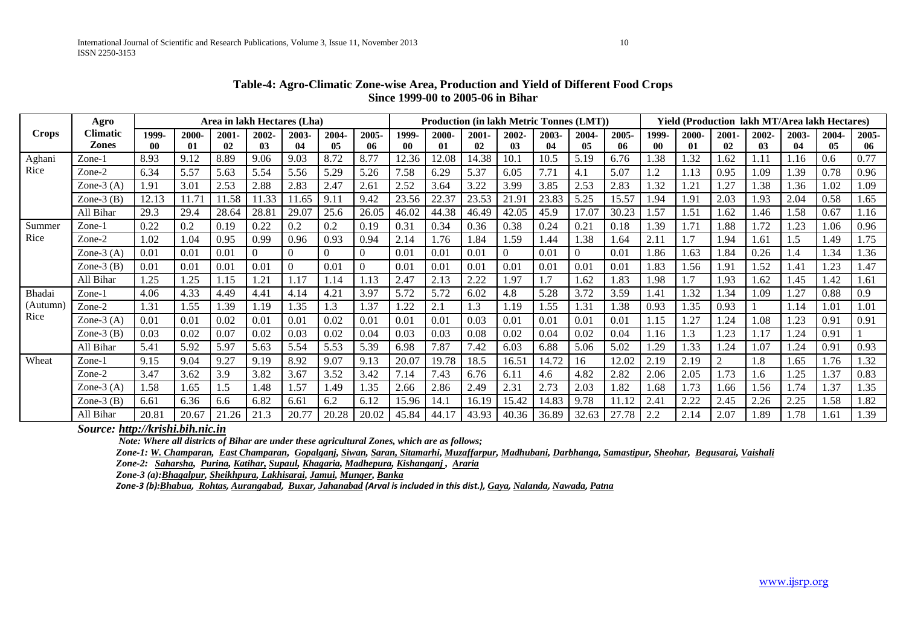|              | Agro            | Area in lakh Hectares (Lha) |       |          |                |                |                |                  | <b>Production (in lakh Metric Tonnes (LMT))</b> |       |       |                |       |                | <b>Yield (Production lakh MT/Area lakh Hectares)</b> |       |       |          |       |       |       |       |
|--------------|-----------------|-----------------------------|-------|----------|----------------|----------------|----------------|------------------|-------------------------------------------------|-------|-------|----------------|-------|----------------|------------------------------------------------------|-------|-------|----------|-------|-------|-------|-------|
| <b>Crops</b> | Climatic        | 1999-                       | 2000- | $2001 -$ | 2002-          | 2003-          | 2004-          | 2005-            | 1999-                                           | 2000- | 2001- | 2002-          | 2003- | 2004-          | 2005-                                                | 1999- | 2000- | $2001 -$ | 2002- | 2003- | 2004- | 2005- |
|              | <b>Zones</b>    | $\bf{00}$                   | 01    | 02       | 03             | 04             | 05             | -06              | -00                                             | 01    | 02    | 03             | 04    | 05             | -06                                                  | 00    | 01    | 02       | 03    | 04    | 05    | 06    |
| Aghani       | Zone-1          | 8.93                        | 9.12  | 8.89     | 9.06           | 9.03           | 8.72           | 8.77             | 12.36                                           | 12.08 | 14.38 | 10.1           | 10.5  | 5.19           | 6.76                                                 | .38   | .32   | .62      | 1.11  | 1.16  | 0.6   | 0.77  |
| Rice         | Zone-2          | 6.34                        | 5.57  | 5.63     | 5.54           | 5.56           | 5.29           | 5.26             | 7.58                                            | 6.29  | 5.37  | 6.05           | 7.71  | 4.1            | 5.07                                                 | 1.2   | 1.13  | 0.95     | 1.09  | 1.39  | 0.78  | 0.96  |
|              | Zone- $3(A)$    | 1.91                        | 3.01  | 2.53     | 2.88           | 2.83           | 2.47           | 2.61             | 2.52                                            | 3.64  | 3.22  | 3.99           | 3.85  | 2.53           | 2.83                                                 | 1.32  | 1.21  | 1.27     | 1.38  | 1.36  | 1.02  | 1.09  |
|              | Zone- $3$ (B)   | 12.13                       | 11.71 | 11.58    | 11.33          | 11.65          | 9.11           | 9.42             | 23.56                                           | 22.37 | 23.53 | 21.91          | 23.83 | 5.25           | 15.57                                                | .94   | 1.91  | 2.03     | 1.93  | 2.04  | 0.58  | 1.65  |
|              | All Bihar       | 29.3                        | 29.4  | 28.64    | 28.81          | 29.07          | 25.6           | 26.05            | 46.02                                           | 44.38 | 46.49 | 42.05          | 45.9  | 17.07          | 30.23                                                | 1.57  | 1.51  | .62      | 1.46  | 1.58  | 0.67  | 1.16  |
| Summer       | Zone-1          | 0.22                        | 0.2   | 0.19     | 0.22           | 0.2            | 0.2            | 0.19             | 0.31                                            | 0.34  | 0.36  | 0.38           | 0.24  | 0.21           | 0.18                                                 | 1.39  | 1.71  | l.88     | 1.72  | 1.23  | 1.06  | 0.96  |
| Rice         | Zone-2          | 1.02                        | 1.04  | 0.95     | 0.99           | 0.96           | 0.93           | 0.94             | 2.14                                            | 1.76  | 1.84  | 1.59           | 1.44  | 1.38           | 1.64                                                 | 2.11  | 1.7   | .94      | 1.61  | 1.5   | 1.49  | 1.75  |
|              | Zone- $3(A)$    | 0.01                        | 0.01  | 0.01     | $\overline{0}$ | $\overline{0}$ | $\overline{0}$ | $\Omega$         | 0.01                                            | 0.01  | 0.01  | $\overline{0}$ | 0.01  | $\overline{0}$ | 0.01                                                 | 1.86  | 1.63  | .84      | 0.26  | 1.4   | l.34  | 1.36  |
|              | Zone- $3$ $(B)$ | 0.01                        | 0.01  | 0.01     | 0.01           | $\Omega$       | 0.01           |                  | 0.01                                            | 0.01  | 0.01  | 0.01           | 0.01  | 0.01           | 0.01                                                 | 1.83  | 1.56  | 1.91     | 1.52  | 1.41  | 1.23  | 1.47  |
|              | All Bihar       | 1.25                        | 1.25  | 1.15     | 1.21           | 1.17           | 1.14           | 1.13             | 2.47                                            | 2.13  | 2.22  | 1.97           | 1.7   | 1.62           | 1.83                                                 | 1.98  | 1.7   | l.93     | 1.62  | 1.45  | 1.42  | 1.61  |
| Bhadai       | Zone-1          | 4.06                        | 4.33  | 4.49     | 4.41           | 4.14           | 4.21           | 3.97             | 5.72                                            | 5.72  | 6.02  | 4.8            | 5.28  | 3.72           | 3.59                                                 | 1.41  | .32   | .34      | 1.09  | 1.27  | 0.88  | 0.9   |
| (Autumn      | Zone-2          | 1.31                        | 1.55  | 1.39     | 1.19           | 1.35           | 1.3            | 1.37             | 1.22                                            | 2.1   | 1.3   | 1.19           | 1.55  | 1.31           | 1.38                                                 | 0.93  | 1.35  | 0.93     |       | 1.14  | 1.01  | 1.01  |
| Rice         | Zone- $3(A)$    | 0.01                        | 0.01  | 0.02     | 0.01           | 0.01           | 0.02           | 0.01             | 0.01                                            | 0.01  | 0.03  | 0.01           | 0.01  | 0.01           | 0.01                                                 | 1.15  | 1.27  | 1.24     | 1.08  | 1.23  | 0.91  | 0.91  |
|              | Zone- $3$ $(B)$ | 0.03                        | 0.02  | 0.07     | 0.02           | 0.03           | 0.02           | 0.04             | 0.03                                            | 0.03  | 0.08  | 0.02           | 0.04  | 0.02           | 0.04                                                 | 1.16  | 1.3   | .23      | 1.17  | 1.24  | 0.91  |       |
|              | All Bihar       | 5.41                        | 5.92  | 5.97     | 5.63           | 5.54           | 5.53           | 5.39             | 6.98                                            | 7.87  | 7.42  | 6.03           | 6.88  | 5.06           | 5.02                                                 | 1.29  | 1.33  | l.24     | 1.07  | 1.24  | 0.91  | 0.93  |
| Wheat        | Zone-1          | 9.15                        | 9.04  | 9.27     | 9.19           | 8.92           | 9.07           | 9.13             | 20.07                                           | 19.78 | 18.5  | 16.51          | 14.72 | 16             | 12.02                                                | 2.19  | 2.19  | 2        | 1.8   | 1.65  | 1.76  | 1.32  |
|              | Zone-2          | 3.47                        | 3.62  | 3.9      | 3.82           | 3.67           | 3.52           | 3.42             | 7.14                                            | 7.43  | 6.76  | 6.11           | 4.6   | 4.82           | 2.82                                                 | 2.06  | 2.05  | 1.73     | 1.6   | 1.25  | 1.37  | 0.83  |
|              | Zone- $3(A)$    | 1.58                        | 1.65  | 1.5      | 1.48           | 1.57           | 1.49           | $\overline{.}35$ | 2.66                                            | 2.86  | 2.49  | 2.31           | 2.73  | 2.03           | 1.82                                                 | 1.68  | 1.73  | .66      | 1.56  | 1.74  | 1.37  | 1.35  |
|              | Zone- $3$ $(B)$ | 6.61                        | 6.36  | 6.6      | 6.82           | 6.61           | 6.2            | 6.12             | 15.96                                           | 14.1  | 16.19 | 15.42          | 14.83 | 9.78           | 11.12                                                | 2.41  | 2.22  | 2.45     | 2.26  | 2.25  | 1.58  | 1.82  |
|              | All Bihar       | 20.81                       | 20.67 | 21.26    | 21.3           | 20.77          | 20.28          | 20.02            | 45.84                                           | 44.17 | 43.93 | 40.36          | 36.89 | 32.63          | 27.78                                                | 2.2   | 2.14  | 2.07     | 1.89  | 1.78  | 1.61  | .39   |

#### **Table-4: Agro-Climatic Zone-wise Area, Production and Yield of Different Food Crops Since 1999-00 to 2005-06 in Bihar**

*Source: [http://krishi.bih.nic.in](http://krishi.bih.nic.in/)*

 *Note: Where all districts of Bihar are under these agricultural Zones, which are as follows;*

*Zone-1[: W. Champaran, East Champaran, Gopalganj, Siwan, Saran, Sitamarhi, Muzaffarpur, Madhubani, Darbhanga, Samastipur, Sheohar,](http://krishi.bih.nic.in/weather_I.htm) [Begusarai, Vaishali](http://krishi.bih.nic.in/weather_I.htm)*

*Zone-2: [Saharsha, Purina, Katihar,](http://krishi.bih.nic.in/weather_II.htm) [Supaul, Khagaria, Madhepura, Kishanganj ,](http://krishi.bih.nic.in/weather_II.htm) [Araria](http://krishi.bih.nic.in/weather_II.htm)*

*Zone-3 (a)[:Bhagalpur, Sheikhpura,](http://krishi.bih.nic.in/weather_III.htm) [Lakhisarai, Jamui, Munger, Banka](http://krishi.bih.nic.in/weather_III.htm)*

Zone-3 (b):[Bhabua](http://krishi.bih.nic.in/weather_III.htm), [Rohtas](http://krishi.bih.nic.in/weather_III.htm), [Aurangabad](http://krishi.bih.nic.in/weather_III.htm), [Buxar](http://krishi.bih.nic.in/weather_III.htm), [Jahanabad](http://krishi.bih.nic.in/weather_III.htm) (Arval is included in this dist.), [Gaya](http://krishi.bih.nic.in/weather_III.htm), [Nalanda](http://krishi.bih.nic.in/weather_III.htm), [Nawada](http://krishi.bih.nic.in/weather_III.htm), [Patna](http://krishi.bih.nic.in/weather_III.htm)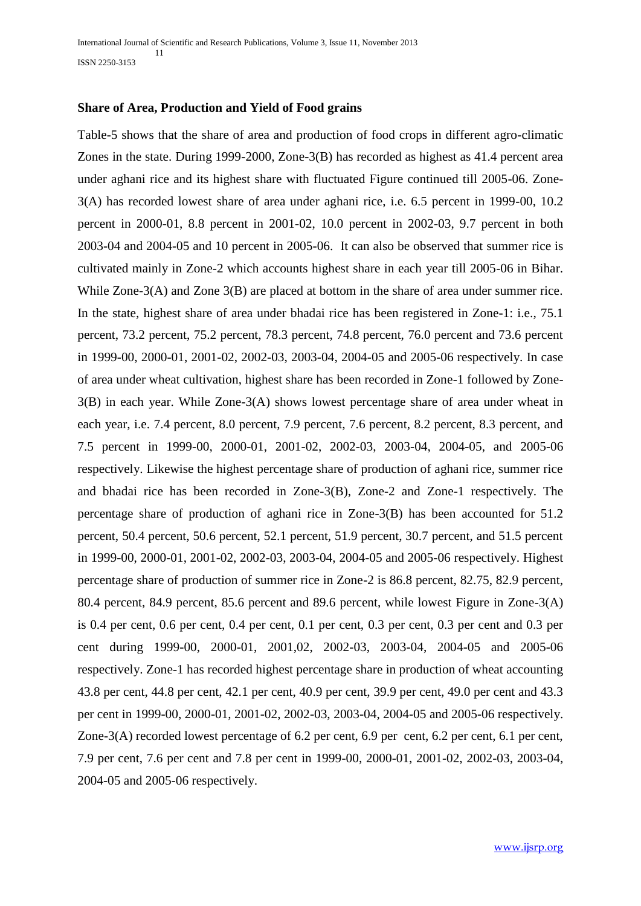#### **Share of Area, Production and Yield of Food grains**

Table-5 shows that the share of area and production of food crops in different agro-climatic Zones in the state. During 1999-2000, Zone-3(B) has recorded as highest as 41.4 percent area under aghani rice and its highest share with fluctuated Figure continued till 2005-06. Zone-3(A) has recorded lowest share of area under aghani rice, i.e. 6.5 percent in 1999-00, 10.2 percent in 2000-01, 8.8 percent in 2001-02, 10.0 percent in 2002-03, 9.7 percent in both 2003-04 and 2004-05 and 10 percent in 2005-06. It can also be observed that summer rice is cultivated mainly in Zone-2 which accounts highest share in each year till 2005-06 in Bihar. While Zone-3(A) and Zone 3(B) are placed at bottom in the share of area under summer rice. In the state, highest share of area under bhadai rice has been registered in Zone-1: i.e., 75.1 percent, 73.2 percent, 75.2 percent, 78.3 percent, 74.8 percent, 76.0 percent and 73.6 percent in 1999-00, 2000-01, 2001-02, 2002-03, 2003-04, 2004-05 and 2005-06 respectively. In case of area under wheat cultivation, highest share has been recorded in Zone-1 followed by Zone-3(B) in each year. While Zone-3(A) shows lowest percentage share of area under wheat in each year, i.e. 7.4 percent, 8.0 percent, 7.9 percent, 7.6 percent, 8.2 percent, 8.3 percent, and 7.5 percent in 1999-00, 2000-01, 2001-02, 2002-03, 2003-04, 2004-05, and 2005-06 respectively. Likewise the highest percentage share of production of aghani rice, summer rice and bhadai rice has been recorded in Zone-3(B), Zone-2 and Zone-1 respectively. The percentage share of production of aghani rice in Zone-3(B) has been accounted for 51.2 percent, 50.4 percent, 50.6 percent, 52.1 percent, 51.9 percent, 30.7 percent, and 51.5 percent in 1999-00, 2000-01, 2001-02, 2002-03, 2003-04, 2004-05 and 2005-06 respectively. Highest percentage share of production of summer rice in Zone-2 is 86.8 percent, 82.75, 82.9 percent, 80.4 percent, 84.9 percent, 85.6 percent and 89.6 percent, while lowest Figure in Zone-3(A) is 0.4 per cent, 0.6 per cent, 0.4 per cent, 0.1 per cent, 0.3 per cent, 0.3 per cent and 0.3 per cent during 1999-00, 2000-01, 2001,02, 2002-03, 2003-04, 2004-05 and 2005-06 respectively. Zone-1 has recorded highest percentage share in production of wheat accounting 43.8 per cent, 44.8 per cent, 42.1 per cent, 40.9 per cent, 39.9 per cent, 49.0 per cent and 43.3 per cent in 1999-00, 2000-01, 2001-02, 2002-03, 2003-04, 2004-05 and 2005-06 respectively. Zone-3(A) recorded lowest percentage of 6.2 per cent, 6.9 per cent, 6.2 per cent, 6.1 per cent, 7.9 per cent, 7.6 per cent and 7.8 per cent in 1999-00, 2000-01, 2001-02, 2002-03, 2003-04, 2004-05 and 2005-06 respectively.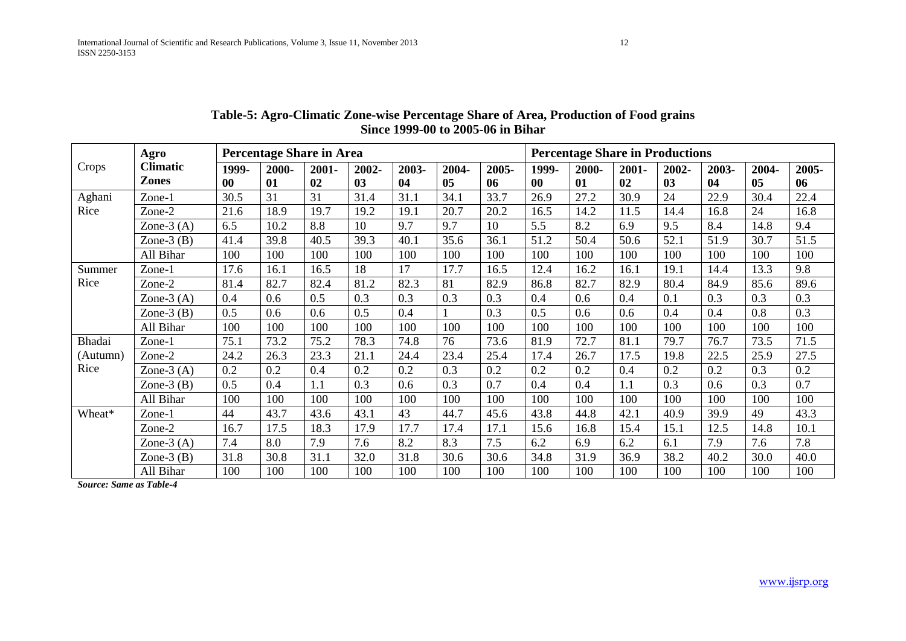|          | Agro            | Percentage Share in Area |       |       |       |       |       |       | <b>Percentage Share in Productions</b> |       |       |                |       |       |       |  |  |
|----------|-----------------|--------------------------|-------|-------|-------|-------|-------|-------|----------------------------------------|-------|-------|----------------|-------|-------|-------|--|--|
| Crops    | <b>Climatic</b> | 1999-                    | 2000- | 2001- | 2002- | 2003- | 2004- | 2005- | 1999-                                  | 2000- | 2001- | 2002-          | 2003- | 2004- | 2005- |  |  |
|          | <b>Zones</b>    | 00                       | 01    | 02    | 03    | 04    | 05    | 06    | 0 <sub>0</sub>                         | 01    | 02    | 0 <sub>3</sub> | 04    | 05    | 06    |  |  |
| Aghani   | Zone-1          | 30.5                     | 31    | 31    | 31.4  | 31.1  | 34.1  | 33.7  | 26.9                                   | 27.2  | 30.9  | 24             | 22.9  | 30.4  | 22.4  |  |  |
| Rice     | Zone-2          | 21.6                     | 18.9  | 19.7  | 19.2  | 19.1  | 20.7  | 20.2  | 16.5                                   | 14.2  | 11.5  | 14.4           | 16.8  | 24    | 16.8  |  |  |
|          | Zone- $3(A)$    | 6.5                      | 10.2  | 8.8   | 10    | 9.7   | 9.7   | 10    | 5.5                                    | 8.2   | 6.9   | 9.5            | 8.4   | 14.8  | 9.4   |  |  |
|          | Zone- $3(B)$    | 41.4                     | 39.8  | 40.5  | 39.3  | 40.1  | 35.6  | 36.1  | 51.2                                   | 50.4  | 50.6  | 52.1           | 51.9  | 30.7  | 51.5  |  |  |
|          | All Bihar       | 100                      | 100   | 100   | 100   | 100   | 100   | 100   | 100                                    | 100   | 100   | 100            | 100   | 100   | 100   |  |  |
| Summer   | Zone-1          | 17.6                     | 16.1  | 16.5  | 18    | 17    | 17.7  | 16.5  | 12.4                                   | 16.2  | 16.1  | 19.1           | 14.4  | 13.3  | 9.8   |  |  |
| Rice     | Zone-2          | 81.4                     | 82.7  | 82.4  | 81.2  | 82.3  | 81    | 82.9  | 86.8                                   | 82.7  | 82.9  | 80.4           | 84.9  | 85.6  | 89.6  |  |  |
|          | Zone- $3(A)$    | 0.4                      | 0.6   | 0.5   | 0.3   | 0.3   | 0.3   | 0.3   | 0.4                                    | 0.6   | 0.4   | 0.1            | 0.3   | 0.3   | 0.3   |  |  |
|          | Zone- $3(B)$    | 0.5                      | 0.6   | 0.6   | 0.5   | 0.4   |       | 0.3   | 0.5                                    | 0.6   | 0.6   | 0.4            | 0.4   | 0.8   | 0.3   |  |  |
|          | All Bihar       | 100                      | 100   | 100   | 100   | 100   | 100   | 100   | 100                                    | 100   | 100   | 100            | 100   | 100   | 100   |  |  |
| Bhadai   | Zone-1          | 75.1                     | 73.2  | 75.2  | 78.3  | 74.8  | 76    | 73.6  | 81.9                                   | 72.7  | 81.1  | 79.7           | 76.7  | 73.5  | 71.5  |  |  |
| (Autumn) | Zone-2          | 24.2                     | 26.3  | 23.3  | 21.1  | 24.4  | 23.4  | 25.4  | 17.4                                   | 26.7  | 17.5  | 19.8           | 22.5  | 25.9  | 27.5  |  |  |
| Rice     | Zone- $3(A)$    | 0.2                      | 0.2   | 0.4   | 0.2   | 0.2   | 0.3   | 0.2   | 0.2                                    | 0.2   | 0.4   | 0.2            | 0.2   | 0.3   | 0.2   |  |  |
|          | Zone- $3(B)$    | 0.5                      | 0.4   | 1.1   | 0.3   | 0.6   | 0.3   | 0.7   | 0.4                                    | 0.4   | 1.1   | 0.3            | 0.6   | 0.3   | 0.7   |  |  |
|          | All Bihar       | 100                      | 100   | 100   | 100   | 100   | 100   | 100   | 100                                    | 100   | 100   | 100            | 100   | 100   | 100   |  |  |
| Wheat*   | Zone-1          | 44                       | 43.7  | 43.6  | 43.1  | 43    | 44.7  | 45.6  | 43.8                                   | 44.8  | 42.1  | 40.9           | 39.9  | 49    | 43.3  |  |  |
|          | Zone-2          | 16.7                     | 17.5  | 18.3  | 17.9  | 17.7  | 17.4  | 17.1  | 15.6                                   | 16.8  | 15.4  | 15.1           | 12.5  | 14.8  | 10.1  |  |  |
|          | Zone- $3(A)$    | 7.4                      | 8.0   | 7.9   | 7.6   | 8.2   | 8.3   | 7.5   | 6.2                                    | 6.9   | 6.2   | 6.1            | 7.9   | 7.6   | 7.8   |  |  |
|          | Zone- $3(B)$    | 31.8                     | 30.8  | 31.1  | 32.0  | 31.8  | 30.6  | 30.6  | 34.8                                   | 31.9  | 36.9  | 38.2           | 40.2  | 30.0  | 40.0  |  |  |
|          | All Bihar       | 100                      | 100   | 100   | 100   | 100   | 100   | 100   | 100                                    | 100   | 100   | 100            | 100   | 100   | 100   |  |  |

## **Table-5: Agro-Climatic Zone-wise Percentage Share of Area, Production of Food grains Since 1999-00 to 2005-06 in Bihar**

*Source: Same as Table-4*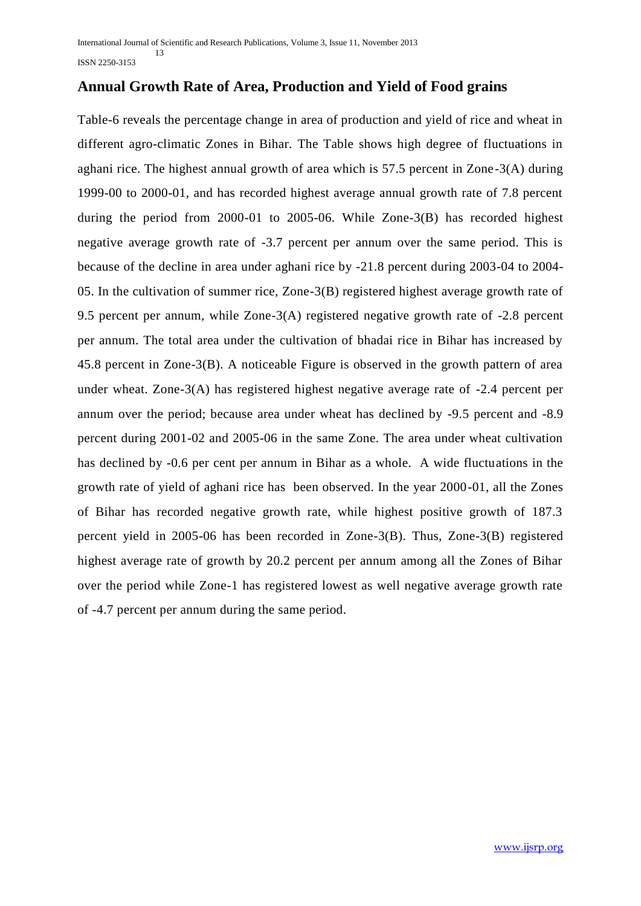## **Annual Growth Rate of Area, Production and Yield of Food grains**

Table-6 reveals the percentage change in area of production and yield of rice and wheat in different agro-climatic Zones in Bihar. The Table shows high degree of fluctuations in aghani rice. The highest annual growth of area which is 57.5 percent in Zone-3(A) during 1999-00 to 2000-01, and has recorded highest average annual growth rate of 7.8 percent during the period from 2000-01 to 2005-06. While Zone-3(B) has recorded highest negative average growth rate of -3.7 percent per annum over the same period. This is because of the decline in area under aghani rice by -21.8 percent during 2003-04 to 2004- 05. In the cultivation of summer rice, Zone-3(B) registered highest average growth rate of 9.5 percent per annum, while Zone-3(A) registered negative growth rate of -2.8 percent per annum. The total area under the cultivation of bhadai rice in Bihar has increased by 45.8 percent in Zone-3(B). A noticeable Figure is observed in the growth pattern of area under wheat. Zone-3(A) has registered highest negative average rate of -2.4 percent per annum over the period; because area under wheat has declined by -9.5 percent and -8.9 percent during 2001-02 and 2005-06 in the same Zone. The area under wheat cultivation has declined by -0.6 per cent per annum in Bihar as a whole. A wide fluctuations in the growth rate of yield of aghani rice has been observed. In the year 2000-01, all the Zones of Bihar has recorded negative growth rate, while highest positive growth of 187.3 percent yield in 2005-06 has been recorded in Zone-3(B). Thus, Zone-3(B) registered highest average rate of growth by 20.2 percent per annum among all the Zones of Bihar over the period while Zone-1 has registered lowest as well negative average growth rate of -4.7 percent per annum during the same period.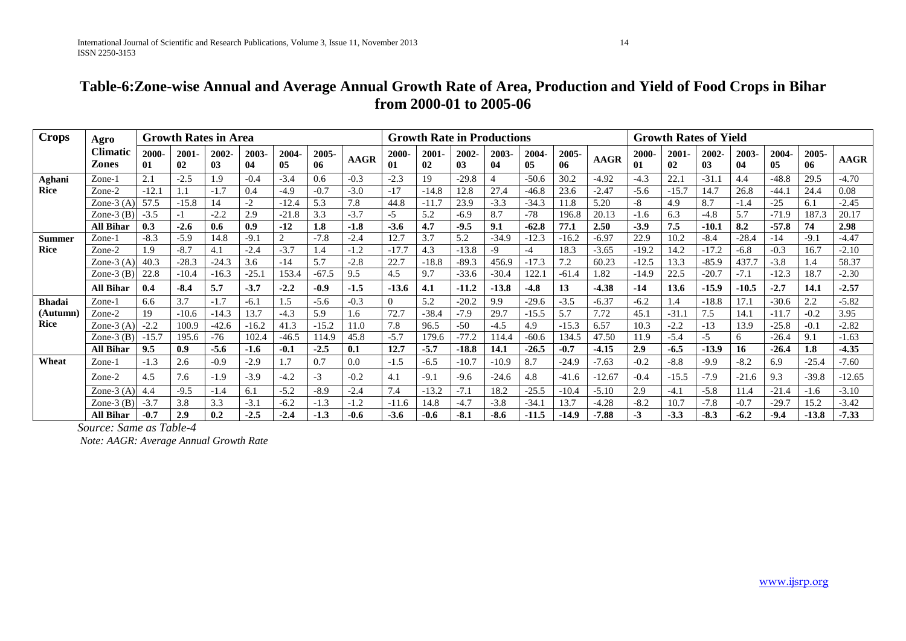| <b>Crops</b>  | <b>Growth Rates in Area</b><br>Agro |             |             |             |             |                |             |             | <b>Growth Rate in Productions</b> |             |             |             |             |             | <b>Growth Rates of Yield</b> |             |                |             |             |             |             |             |
|---------------|-------------------------------------|-------------|-------------|-------------|-------------|----------------|-------------|-------------|-----------------------------------|-------------|-------------|-------------|-------------|-------------|------------------------------|-------------|----------------|-------------|-------------|-------------|-------------|-------------|
|               | <b>Climatic</b><br><b>Zones</b>     | 2000-<br>01 | 2001-<br>02 | 2002-<br>03 | 2003-<br>04 | 2004-<br>05    | 2005-<br>06 | <b>AAGR</b> | 2000-<br>01                       | 2001-<br>02 | 2002-<br>03 | 2003-<br>04 | 2004-<br>05 | 2005-<br>06 | <b>AAGR</b>                  | 2000-<br>01 | $2001 -$<br>02 | 2002-<br>03 | 2003-<br>04 | 2004-<br>05 | 2005-<br>06 | <b>AAGR</b> |
| Aghani        | Zone-1                              | 2.1         | $-2.5$      | 1.9         | $-0.4$      | $-3.4$         | 0.6         | $-0.3$      | $-2.3$                            | 19          | $-29.8$     |             | $-50.6$     | 30.2        | $-4.92$                      | $-4.3$      | 22.            | $-31.$      | 4.4         | $-48.8$     | 29.5        | $-4.70$     |
| <b>Rice</b>   | Zone-2                              | $-12.$      |             | $-1.7$      | 0.4         | $-4.9$         | $-0.7$      | $-3.0$      | $-17$                             | $-14.8$     | 12.8        | 27.4        | $-46.8$     | 23.6        | $-2.47$                      | $-5.6$      | $-15.7$        | 14.7        | 26.8        | $-44.1$     | 24.4        | 0.08        |
|               | Zone- $3(A)$                        | 57.5        | $-15.8$     | 14          | -2          | $-12.4$        | 5.3         | 7.8         | 44.8                              | $-11.7$     | 23.9        | $-3.3$      | $-34.3$     | 11.8        | 5.20                         | -8          | 4.9            | 8.7         | $-1.4$      | $-25$       | 6.1         | $-2.45$     |
|               | Zone- $3$ $(B)$                     | $-3.5$      | $-1$        | $-2.2$      | 2.9         | $-21.8$        | 3.3         | $-3.7$      | $-5$                              | 5.2         | $-6.9$      | 8.7         | $-78$       | 196.8       | 20.13                        | $-1.6$      | 6.3            | $-4.8$      | 5.7         | $-71.9$     | 187.3       | 20.17       |
|               | All Bihar                           | 0.3         | $-2.6$      | 0.6         | 0.9         | $-12$          | 1.8         | $-1.8$      | $-3.6$                            | 4.7         | $-9.5$      | 9.1         | $-62.8$     | 77.1        | 2.50                         | $-3.9$      | 7.5            | $-10.1$     | 8.2         | $-57.8$     | 74          | 2.98        |
| Summer        | Zone-1                              | $-8.3$      | $-5.9$      | 14.8        | -9.         | $\overline{2}$ | $-7.8$      | $-2.4$      | 12.7                              | 3.7         | 5.2         | $-34.9$     | $-12.3$     | $-16.2$     | $-6.97$                      | 22.9        | 10.2           | $-8.4$      | $-28.4$     | $-14$       | $-9.1$      | $-4.47$     |
| <b>Rice</b>   | Zone-2                              | 1.9         | $-8.7$      | 4.1         | $-2.4$      | $-3.7$         | 1.4         | $-1.2$      | $-17.7$                           | 4.3         | $-13.8$     | -9          | $-4$        | 18.3        | $-3.65$                      | $-19.2$     | 14.2           | $-17.2$     | $-6.8$      | $-0.3$      | 16.7        | $-2.10$     |
|               | Zone- $3(A)$                        | 40.3        | $-28.3$     | $-24.3$     | 3.6         | $-14$          | 5.7         | $-2.8$      | 22.7                              | $-18.8$     | $-89.3$     | 456.9       | $-17.3$     | 7.2         | 60.23                        | $-12.5$     | 13.3           | $-85.9$     | 437.        | $-3.8$      | 1.4         | 58.37       |
|               | Zone- $3$ (B)                       | 22.8        | $-10.4$     | $-16.3$     | $-25.1$     | 153.4          | $-67.5$     | 9.5         | 4.5                               | 9.7         | $-33.6$     | $-30.4$     | 122.        | $-61.4$     | 1.82                         | $-14.9$     | 22.5           | $-20.7$     | $-7.1$      | $-12.3$     | 18.7        | $-2.30$     |
|               | <b>All Bihar</b>                    | 0.4         | $-8.4$      | 5.7         | $-3.7$      | $-2.2$         | $-0.9$      | $-1.5$      | $-13.6$                           | 4.1         | $-11.2$     | $-13.8$     | $-4.8$      | 13          | $-4.38$                      | $-14$       | 13.6           | $-15.9$     | $-10.5$     | $-2.7$      | 14.1        | $-2.57$     |
| <b>Bhadai</b> | Zone-1                              | 6.6         | 3.7         | $-1.7$      | $-6.1$      | 1.5            | $-5.6$      | $-0.3$      | $\Omega$                          | 5.2         | $-20.2$     | 9.9         | $-29.6$     | $-3.5$      | $-6.37$                      | $-6.2$      | 1.4            | $-18.8$     | 17.1        | $-30.6$     | 2.2         | $-5.82$     |
| (Autumn       | Zone-2                              | 19          | $-10.6$     | $-14.3$     | 13.7        | $-4.3$         | 5.9         | 1.6         | 72.7                              | $-38.4$     | $-7.9$      | 29.7        | $-15.5$     | 5.7         | 7.72                         | 45.         | $-31.$         | 7.5         | 14.1        | $-11.7$     | $-0.2$      | 3.95        |
| <b>Rice</b>   | Zone- $3(A)$                        | $-2.2$      | 100.9       | $-42.6$     | $-16.2$     | 41.3           | $-15.2$     | 11.0        | 7.8                               | 96.5        | $-50$       | $-4.5$      | 4.9         | $-15.3$     | 6.57                         | 10.3        | $-2.2$         | $-13$       | 13.9        | $-25.8$     | $-0.1$      | $-2.82$     |
|               | Zone- $3$ $(B)$                     | $-15.7$     | 195.6       | $-76$       | 102.4       | $-46.5$        | 114.9       | 45.8        | $-5.7$                            | 179.6       | $-77.2$     | 114.4       | $-60.6$     | 134.5       | 47.50                        | 11.9        | $-5.4$         | $-5$        | 6           | $-26.4$     | 9.1         | $-1.63$     |
|               | <b>All Bihar</b>                    | 9.5         | 0.9         | $-5.6$      | $-1.6$      | $-0.1$         | $-2.5$      | 0.1         | 12.7                              | $-5.7$      | $-18.8$     | 14.1        | $-26.5$     | $-0.7$      | $-4.15$                      | 2.9         | $-6.5$         | $-13.9$     | 16          | $-26.4$     | 1.8         | $-4.35$     |
| Wheat         | Zone-1                              | $-1.3$      | 2.6         | $-0.9$      | $-2.9$      | 1.7            | 0.7         | 0.0         | $-1.5$                            | $-6.5$      | $-10.7$     | $-10.9$     | 8.7         | $-24.9$     | $-7.63$                      | $-0.2$      | $-8.8$         | $-9.9$      | $-8.2$      | 6.9         | $-25.4$     | $-7.60$     |
|               | Zone-2                              | 4.5         | 7.6         | $-1.9$      | $-3.9$      | $-4.2$         | $-3$        | $-0.2$      | 4.1                               | $-9.1$      | $-9.6$      | $-24.6$     | 4.8         | $-41.6$     | $-12.67$                     | $-0.4$      | $-15.5$        | $-7.9$      | $-21.6$     | 9.3         | $-39.8$     | $-12.65$    |
|               | Zone- $3(A)$                        | 4.4         | $-9.5$      | $-1.4$      | 6.1         | $-5.2$         | $-8.9$      | $-2.4$      | 7.4                               | $-13.2$     | $-7.1$      | 18.2        | $-25.5$     | $-10.4$     | $-5.10$                      | 2.9         | $-4.1$         | $-5.8$      | 11.4        | $-21.4$     | $-1.6$      | $-3.10$     |
|               | Zone- $3(B)$                        | $-3.7$      | 3.8         | 3.3         | $-3.1$      | $-6.2$         | $-1.3$      | $-1.2$      | $-11.6$                           | 14.8        | $-4.7$      | $-3.8$      | $-34.1$     | 13.7        | $-4.28$                      | $-8.2$      | 10.7           | $-7.8$      | $-0.7$      | $-29.7$     | 15.2        | $-3.42$     |
|               | All Bihar                           | $-0.7$      | 2.9         | 0.2         | $-2.5$      | $-2.4$         | $-1.3$      | $-0.6$      | $-3.6$                            | $-0.6$      | $-8.1$      | $-8.6$      | $-11.5$     | $-14.9$     | $-7.88$                      | $-3$        | $-3.3$         | $-8.3$      | $-6.2$      | $-9.4$      | $-13.8$     | $-7.33$     |

*Source: Same as Table-4* 

*Note: AAGR: Average Annual Growth Rate*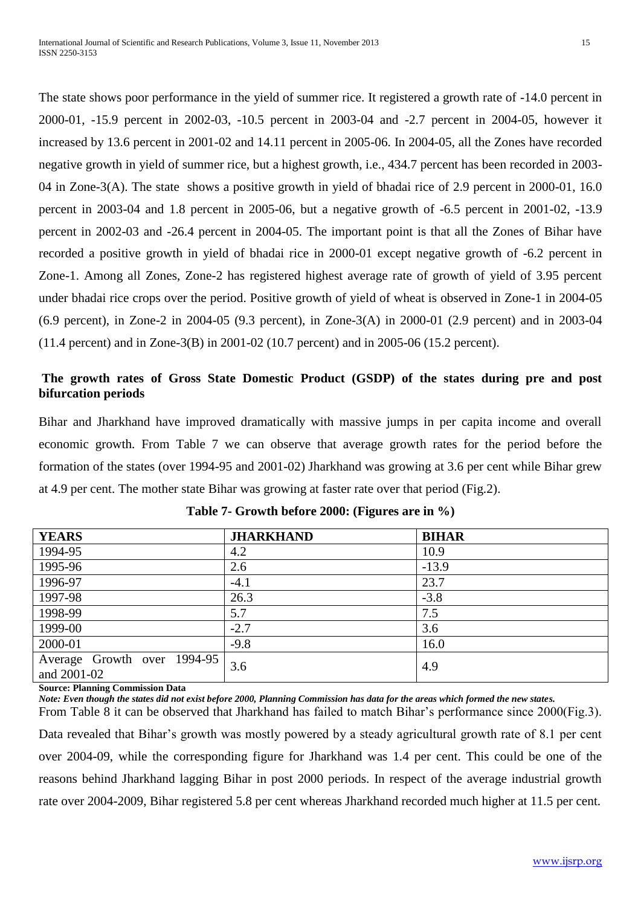The state shows poor performance in the yield of summer rice. It registered a growth rate of -14.0 percent in 2000-01, -15.9 percent in 2002-03, -10.5 percent in 2003-04 and -2.7 percent in 2004-05, however it increased by 13.6 percent in 2001-02 and 14.11 percent in 2005-06. In 2004-05, all the Zones have recorded negative growth in yield of summer rice, but a highest growth, i.e., 434.7 percent has been recorded in 2003- 04 in Zone-3(A). The state shows a positive growth in yield of bhadai rice of 2.9 percent in 2000-01, 16.0 percent in 2003-04 and 1.8 percent in 2005-06, but a negative growth of -6.5 percent in 2001-02, -13.9 percent in 2002-03 and -26.4 percent in 2004-05. The important point is that all the Zones of Bihar have recorded a positive growth in yield of bhadai rice in 2000-01 except negative growth of -6.2 percent in Zone-1. Among all Zones, Zone-2 has registered highest average rate of growth of yield of 3.95 percent under bhadai rice crops over the period. Positive growth of yield of wheat is observed in Zone-1 in 2004-05 (6.9 percent), in Zone-2 in 2004-05 (9.3 percent), in Zone-3(A) in 2000-01 (2.9 percent) and in 2003-04 (11.4 percent) and in Zone-3(B) in 2001-02 (10.7 percent) and in 2005-06 (15.2 percent).

## **The growth rates of Gross State Domestic Product (GSDP) of the states during pre and post bifurcation periods**

Bihar and Jharkhand have improved dramatically with massive jumps in per capita income and overall economic growth. From Table 7 we can observe that average growth rates for the period before the formation of the states (over 1994-95 and 2001-02) Jharkhand was growing at 3.6 per cent while Bihar grew at 4.9 per cent. The mother state Bihar was growing at faster rate over that period (Fig.2).

| <b>YEARS</b>                | <b>JHARKHAND</b> | <b>BIHAR</b> |
|-----------------------------|------------------|--------------|
| 1994-95                     | 4.2              | 10.9         |
| 1995-96                     | 2.6              | $-13.9$      |
| 1996-97                     | $-4.1$           | 23.7         |
| 1997-98                     | 26.3             | $-3.8$       |
| 1998-99                     | 5.7              | 7.5          |
| 1999-00                     | $-2.7$           | 3.6          |
| 2000-01                     | $-9.8$           | 16.0         |
| Average Growth over 1994-95 | 3.6              | 4.9          |
| and 2001-02                 |                  |              |
|                             |                  |              |

**Table 7- Growth before 2000: (Figures are in %)**

**Source: [Planning Commission Data](http://planningcommission.nic.in/data/datatable/0904/tab_103.pdf)**

*Note: Even though the states did not exist before 2000, Planning Commission has data for the areas which formed the new states.*

From Table 8 it can be observed that Jharkhand has failed to match Bihar's performance since 2000(Fig.3). Data revealed that Bihar's growth was mostly powered by a steady agricultural growth rate of 8.1 per cent over 2004-09, while the corresponding figure for Jharkhand was 1.4 per cent. This could be one of the reasons behind Jharkhand lagging Bihar in post 2000 periods. In respect of the average industrial growth rate over 2004-2009, Bihar registered 5.8 per cent whereas Jharkhand recorded much higher at 11.5 per cent.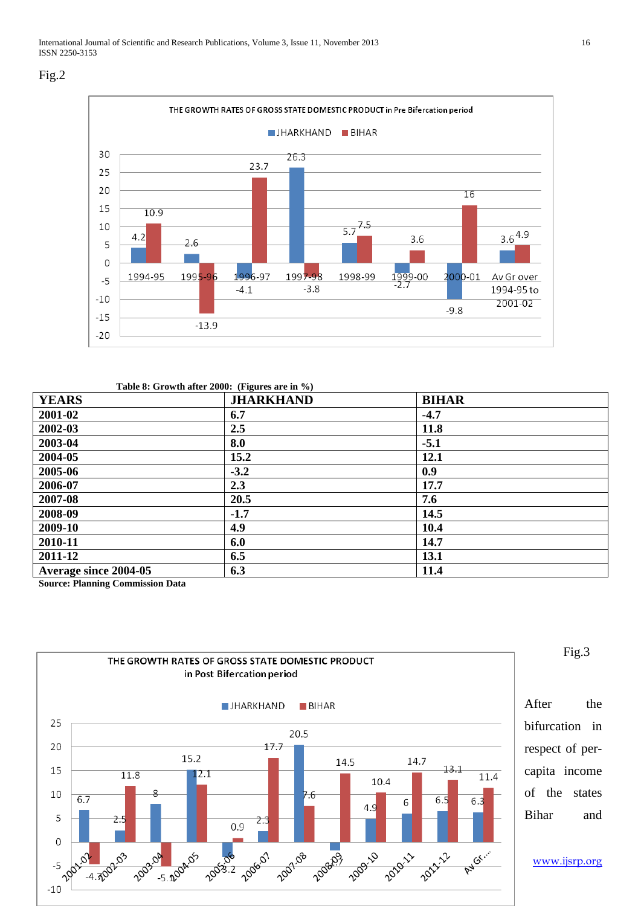



#### **Table 8: Growth after 2000: (Figures are in %)**

| <b>YEARS</b>          | <b>JHARKHAND</b> | <b>BIHAR</b> |
|-----------------------|------------------|--------------|
| 2001-02               | 6.7              | $-4.7$       |
| 2002-03               | 2.5              | 11.8         |
| 2003-04               | 8.0              | $-5.1$       |
| 2004-05               | 15.2             | 12.1         |
| 2005-06               | $-3.2$           | 0.9          |
| 2006-07               | 2.3              | 17.7         |
| 2007-08               | 20.5             | 7.6          |
| 2008-09               | $-1.7$           | 14.5         |
| 2009-10               | 4.9              | 10.4         |
| 2010-11               | 6.0              | 14.7         |
| 2011-12               | 6.5              | 13.1         |
| Average since 2004-05 | 6.3              | 11.4         |

**Source: [Planning Commission Data](http://planningcommission.nic.in/data/datatable/0904/tab_103.pdf)**



Fig.3

After the bifurcation in respect of percapita income of the states Bihar and

www.ijsrp.org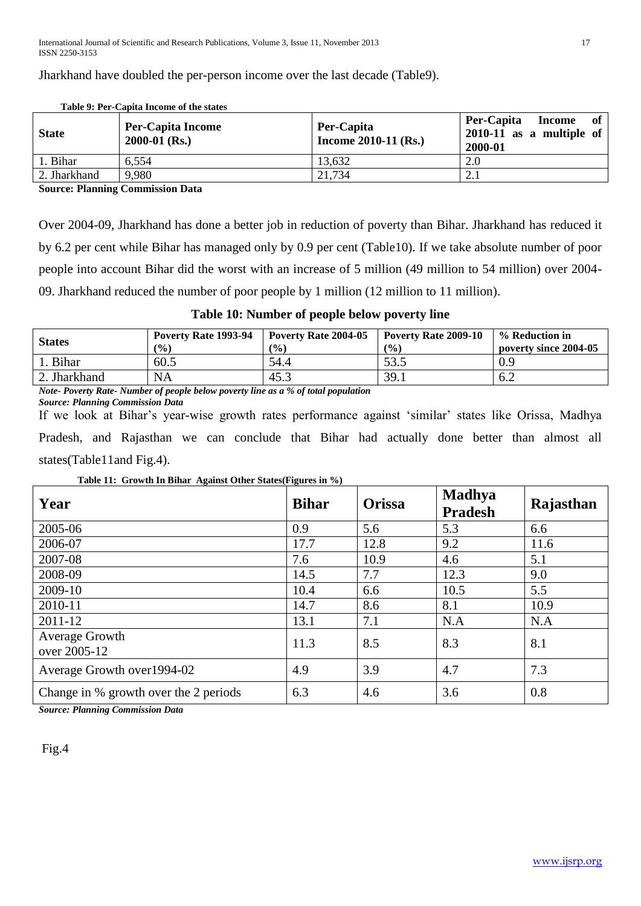Jharkhand have doubled the per-person income over the last decade (Table9).

|              | Tuble 2. I et "Cabita medine of the states" |                                      |                                                                     |
|--------------|---------------------------------------------|--------------------------------------|---------------------------------------------------------------------|
| <b>State</b> | <b>Per-Capita Income</b><br>$2000-01$ (Rs.) | Per-Capita<br>Income $2010-11$ (Rs.) | Per-Capita<br>of<br>Income<br>$2010-11$ as a multiple of<br>2000-01 |
| 1. Bihar     | 6,554                                       | 13,632                               | 2.0                                                                 |
| 2. Jharkhand | 9,980                                       | 21,734                               | 2.1                                                                 |

 **Table 9: Per-Capita Income of the states**

**Source: [Planning Commission Data](http://planningcommission.nic.in/data/datatable/0904/tab_109.pdf)**

Over 2004-09, Jharkhand has done a better job in reduction of poverty than Bihar. Jharkhand has reduced it by 6.2 per cent while Bihar has managed only by 0.9 per cent (Table10). If we take absolute number of poor people into account Bihar did the worst with an increase of 5 million (49 million to 54 million) over 2004- 09. Jharkhand reduced the number of poor people by 1 million (12 million to 11 million).

### **Table 10: Number of people below poverty line**

| <b>States</b> | Poverty Rate 1993-94<br>(9/0) | Poverty Rate 2004-05<br>$\frac{1}{2}$ | Poverty Rate 2009-10<br>$($ %) | % Reduction in<br>poverty since 2004-05 |
|---------------|-------------------------------|---------------------------------------|--------------------------------|-----------------------------------------|
| <b>Bihar</b>  | 60.5                          | 54.4                                  | 53.5                           | 0.9                                     |
| 2. Jharkhand  | <b>NA</b>                     | 45.3                                  | 39.1                           | 6.2                                     |

*Note- Poverty Rate- Number of people below poverty line as a % of total population Source: [Planning Commission Data](http://planningcommission.nic.in/data/datatable/0904/tab_45.pdf)*

If we look at Bihar's year-wise growth rates performance against 'similar' states like Orissa, Madhya Pradesh, and Rajasthan we can conclude that Bihar had actually done better than almost all states(Table11and Fig.4).

**Table 11: Growth In Bihar Against Other States(Figures in %)**

| Year                                  | <b>Bihar</b> | <b>Orissa</b> | <b>Madhya</b><br><b>Pradesh</b> | Rajasthan |
|---------------------------------------|--------------|---------------|---------------------------------|-----------|
| 2005-06                               | 0.9          | 5.6           | 5.3                             | 6.6       |
| 2006-07                               | 17.7         | 12.8          | 9.2                             | 11.6      |
| 2007-08                               | 7.6          | 10.9          | 4.6                             | 5.1       |
| 2008-09                               | 14.5         | 7.7           | 12.3                            | 9.0       |
| 2009-10                               | 10.4         | 6.6           | 10.5                            | 5.5       |
| 2010-11                               | 14.7         | 8.6           | 8.1                             | 10.9      |
| 2011-12                               | 13.1         | 7.1           | N.A                             | N.A       |
| Average Growth<br>over 2005-12        | 11.3         | 8.5           | 8.3                             | 8.1       |
| Average Growth over 1994-02           | 4.9          | 3.9           | 4.7                             | 7.3       |
| Change in % growth over the 2 periods | 6.3          | 4.6           | 3.6                             | 0.8       |

*Source: [Planning Commission Data](http://planningcommission.nic.in/data/datatable/0904/tab_110.pdf)*

Fig.4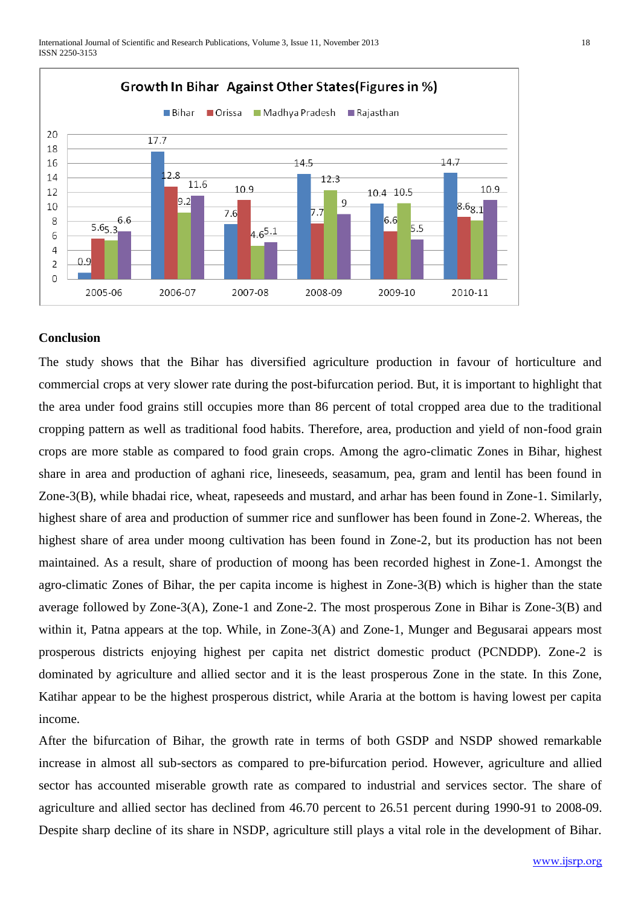

#### **Conclusion**

The study shows that the Bihar has diversified agriculture production in favour of horticulture and commercial crops at very slower rate during the post-bifurcation period. But, it is important to highlight that the area under food grains still occupies more than 86 percent of total cropped area due to the traditional cropping pattern as well as traditional food habits. Therefore, area, production and yield of non-food grain crops are more stable as compared to food grain crops. Among the agro-climatic Zones in Bihar, highest share in area and production of aghani rice, lineseeds, seasamum, pea, gram and lentil has been found in Zone-3(B), while bhadai rice, wheat, rapeseeds and mustard, and arhar has been found in Zone-1. Similarly, highest share of area and production of summer rice and sunflower has been found in Zone-2. Whereas, the highest share of area under moong cultivation has been found in Zone-2, but its production has not been maintained. As a result, share of production of moong has been recorded highest in Zone-1. Amongst the agro-climatic Zones of Bihar, the per capita income is highest in Zone-3(B) which is higher than the state average followed by Zone-3(A), Zone-1 and Zone-2. The most prosperous Zone in Bihar is Zone-3(B) and within it, Patna appears at the top. While, in Zone-3(A) and Zone-1, Munger and Begusarai appears most prosperous districts enjoying highest per capita net district domestic product (PCNDDP). Zone-2 is dominated by agriculture and allied sector and it is the least prosperous Zone in the state. In this Zone, Katihar appear to be the highest prosperous district, while Araria at the bottom is having lowest per capita income.

After the bifurcation of Bihar, the growth rate in terms of both GSDP and NSDP showed remarkable increase in almost all sub-sectors as compared to pre-bifurcation period. However, agriculture and allied sector has accounted miserable growth rate as compared to industrial and services sector. The share of agriculture and allied sector has declined from 46.70 percent to 26.51 percent during 1990-91 to 2008-09. Despite sharp decline of its share in NSDP, agriculture still plays a vital role in the development of Bihar.